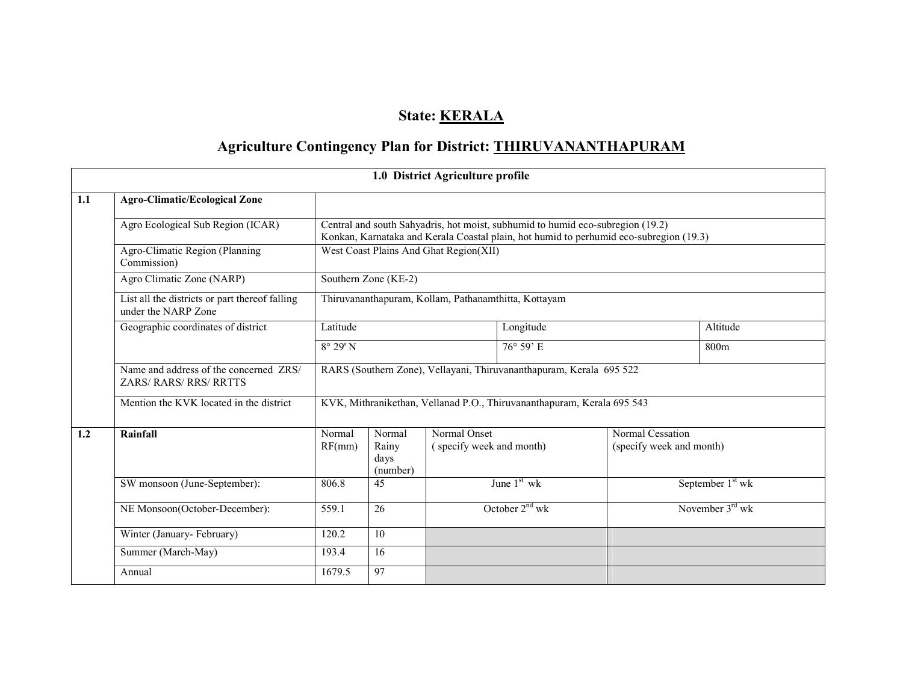# State: **KERALA**

# Agriculture Contingency Plan for District: THIRUVANANTHAPURAM

|     |                                                                       |                                                                                                                                                                          |                                        | 1.0 District Agriculture profile         |                     |                                              |                              |  |
|-----|-----------------------------------------------------------------------|--------------------------------------------------------------------------------------------------------------------------------------------------------------------------|----------------------------------------|------------------------------------------|---------------------|----------------------------------------------|------------------------------|--|
| 1.1 | <b>Agro-Climatic/Ecological Zone</b>                                  |                                                                                                                                                                          |                                        |                                          |                     |                                              |                              |  |
|     | Agro Ecological Sub Region (ICAR)                                     | Central and south Sahyadris, hot moist, subhumid to humid eco-subregion (19.2)<br>Konkan, Karnataka and Kerala Coastal plain, hot humid to perhumid eco-subregion (19.3) |                                        |                                          |                     |                                              |                              |  |
|     | Agro-Climatic Region (Planning<br>Commission)                         |                                                                                                                                                                          | West Coast Plains And Ghat Region(XII) |                                          |                     |                                              |                              |  |
|     | Agro Climatic Zone (NARP)                                             | Southern Zone (KE-2)                                                                                                                                                     |                                        |                                          |                     |                                              |                              |  |
|     | List all the districts or part thereof falling<br>under the NARP Zone | Thiruvananthapuram, Kollam, Pathanamthitta, Kottayam                                                                                                                     |                                        |                                          |                     |                                              |                              |  |
|     | Geographic coordinates of district                                    | Latitude                                                                                                                                                                 |                                        |                                          | Longitude           |                                              | Altitude                     |  |
|     |                                                                       | $8^{\circ}$ 29' N                                                                                                                                                        |                                        | $76^{\circ} 59'$ E                       |                     |                                              | 800m                         |  |
|     | Name and address of the concerned ZRS/<br>ZARS/RARS/RRS/RRTTS         | RARS (Southern Zone), Vellayani, Thiruvananthapuram, Kerala 695 522                                                                                                      |                                        |                                          |                     |                                              |                              |  |
|     | Mention the KVK located in the district                               | KVK, Mithranikethan, Vellanad P.O., Thiruvananthapuram, Kerala 695 543                                                                                                   |                                        |                                          |                     |                                              |                              |  |
| 1.2 | Rainfall                                                              | Normal<br>RF(mm)                                                                                                                                                         | Normal<br>Rainy<br>days<br>(number)    | Normal Onset<br>(specify week and month) |                     | Normal Cessation<br>(specify week and month) |                              |  |
|     | SW monsoon (June-September):                                          | 806.8                                                                                                                                                                    | 45                                     |                                          | June $1st$ wk       |                                              | September 1 <sup>st</sup> wk |  |
|     | NE Monsoon(October-December):                                         | $\overline{26}$<br>559.1                                                                                                                                                 |                                        |                                          | October $2^{nd}$ wk |                                              | November $3rd$ wk            |  |
|     | Winter (January-February)                                             | 120.2                                                                                                                                                                    | $\overline{10}$                        |                                          |                     |                                              |                              |  |
|     | Summer (March-May)                                                    | 193.4                                                                                                                                                                    | 16                                     |                                          |                     |                                              |                              |  |
|     | Annual                                                                | 1679.5                                                                                                                                                                   | 97                                     |                                          |                     |                                              |                              |  |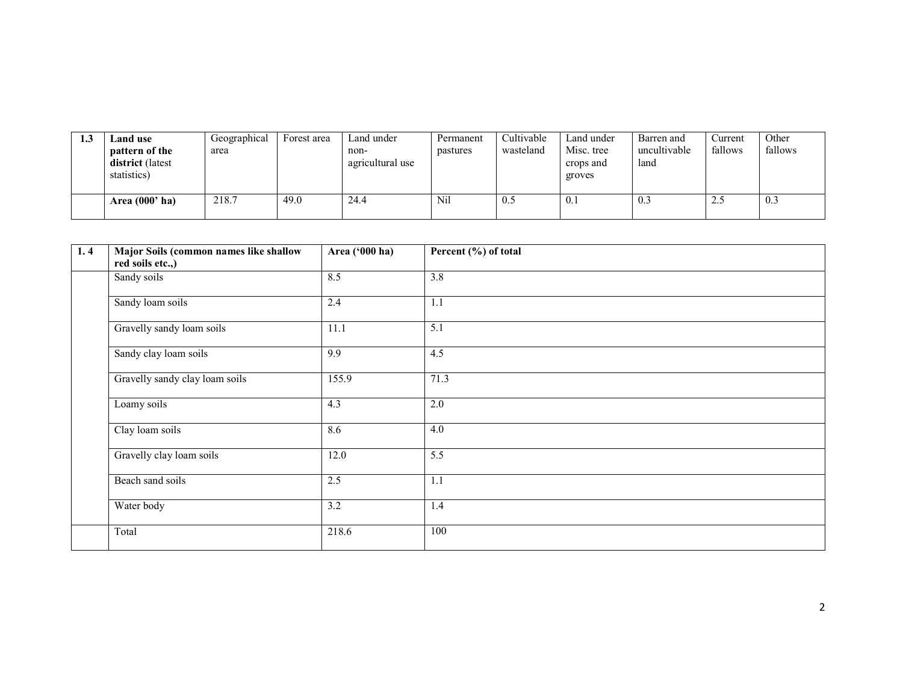| 1.3 | <b>Land use</b>                                   | Geographical | Forest area | Land under               | Permanent | Cultivable | Land under              | Barren and           | Current | Other   |
|-----|---------------------------------------------------|--------------|-------------|--------------------------|-----------|------------|-------------------------|----------------------|---------|---------|
|     | pattern of the<br>district (latest<br>statistics) | area         |             | non-<br>agricultural use | pastures  | wasteland  | Misc. tree<br>crops and | uncultivable<br>land | fallows | fallows |
|     |                                                   |              |             |                          |           |            | groves                  |                      |         |         |
|     | Area $(000'$ ha)                                  | 218.7        | 49.0        | 24.4                     | Nil       | U.S        | 0.1                     | 0.5                  | 2.5     | 0.3     |

| 1, 4 | Major Soils (common names like shallow | Area ('000 ha) | Percent (%) of total |
|------|----------------------------------------|----------------|----------------------|
|      | red soils etc.,)                       |                |                      |
|      | Sandy soils                            | 8.5            | $\overline{3.8}$     |
|      | Sandy loam soils                       | 2.4            | 1.1                  |
|      | Gravelly sandy loam soils              | 11.1           | 5.1                  |
|      | Sandy clay loam soils                  | 9.9            | 4.5                  |
|      | Gravelly sandy clay loam soils         | 155.9          | 71.3                 |
|      | Loamy soils                            | 4.3            | 2.0                  |
|      | Clay loam soils                        | 8.6            | 4.0                  |
|      | Gravelly clay loam soils               | 12.0           | 5.5                  |
|      | Beach sand soils                       | 2.5            | 1.1                  |
|      | Water body                             | 3.2            | 1.4                  |
|      | Total                                  | 218.6          | 100                  |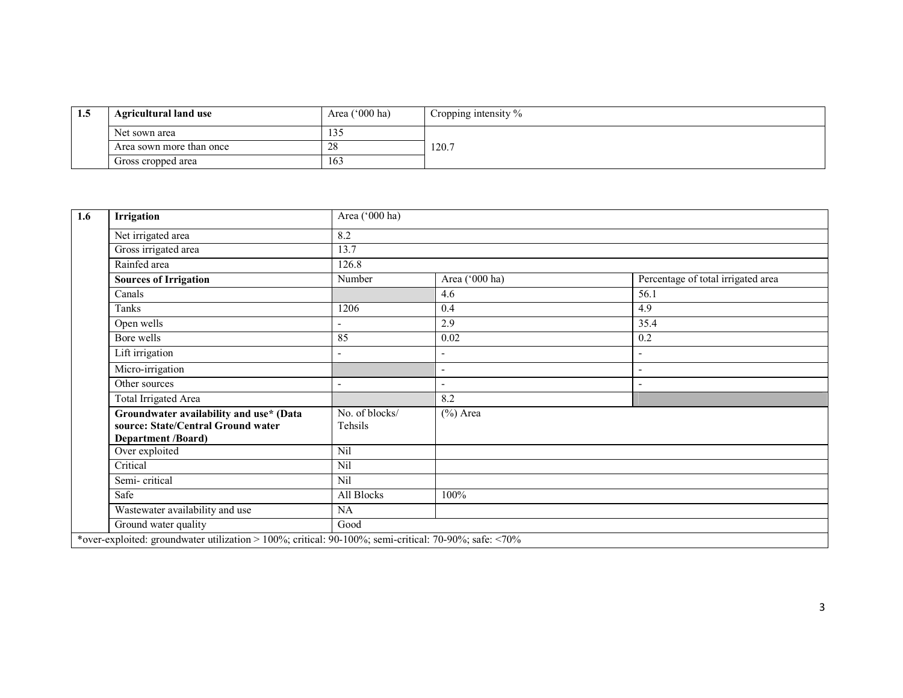| 1.5 | Agricultural land use    | Area $('000 ha)$ | Cropping intensity % |
|-----|--------------------------|------------------|----------------------|
|     | Net sown area            | $\sim$<br>133    |                      |
|     | Area sown more than once | 28               | 120.7                |
|     | Gross cropped area       | 163              |                      |

| 1.6 | Irrigation                                                                                            | Area ('000 ha)            |                          |                                    |  |  |  |  |
|-----|-------------------------------------------------------------------------------------------------------|---------------------------|--------------------------|------------------------------------|--|--|--|--|
|     | Net irrigated area                                                                                    | 8.2                       |                          |                                    |  |  |  |  |
|     | Gross irrigated area                                                                                  | 13.7                      |                          |                                    |  |  |  |  |
|     | Rainfed area                                                                                          | 126.8                     |                          |                                    |  |  |  |  |
|     | <b>Sources of Irrigation</b>                                                                          | Number                    | Area ('000 ha)           | Percentage of total irrigated area |  |  |  |  |
|     | Canals                                                                                                |                           | 4.6                      | 56.1                               |  |  |  |  |
|     | Tanks                                                                                                 | 1206                      | 0.4                      | 4.9                                |  |  |  |  |
|     | Open wells                                                                                            |                           | 2.9                      | 35.4                               |  |  |  |  |
|     | Bore wells                                                                                            | 85                        | 0.02                     | 0.2                                |  |  |  |  |
|     | Lift irrigation                                                                                       |                           | $\overline{\phantom{0}}$ | ÷,                                 |  |  |  |  |
|     | Micro-irrigation                                                                                      |                           |                          | ٠                                  |  |  |  |  |
|     | Other sources                                                                                         |                           | $\overline{\phantom{0}}$ | ٠                                  |  |  |  |  |
|     | <b>Total Irrigated Area</b>                                                                           |                           | 8.2                      |                                    |  |  |  |  |
|     | Groundwater availability and use* (Data<br>source: State/Central Ground water<br>Department /Board)   | No. of blocks/<br>Tehsils | $(\%)$ Area              |                                    |  |  |  |  |
|     | Over exploited                                                                                        | Nil                       |                          |                                    |  |  |  |  |
|     | Critical                                                                                              | Nil                       |                          |                                    |  |  |  |  |
|     | Semi-critical                                                                                         | Nil                       |                          |                                    |  |  |  |  |
|     | Safe                                                                                                  | All Blocks                | 100%                     |                                    |  |  |  |  |
|     | Wastewater availability and use                                                                       | NA                        |                          |                                    |  |  |  |  |
|     | Ground water quality                                                                                  | Good                      |                          |                                    |  |  |  |  |
|     | *over-exploited: groundwater utilization > 100%; critical: 90-100%; semi-critical: 70-90%; safe: <70% |                           |                          |                                    |  |  |  |  |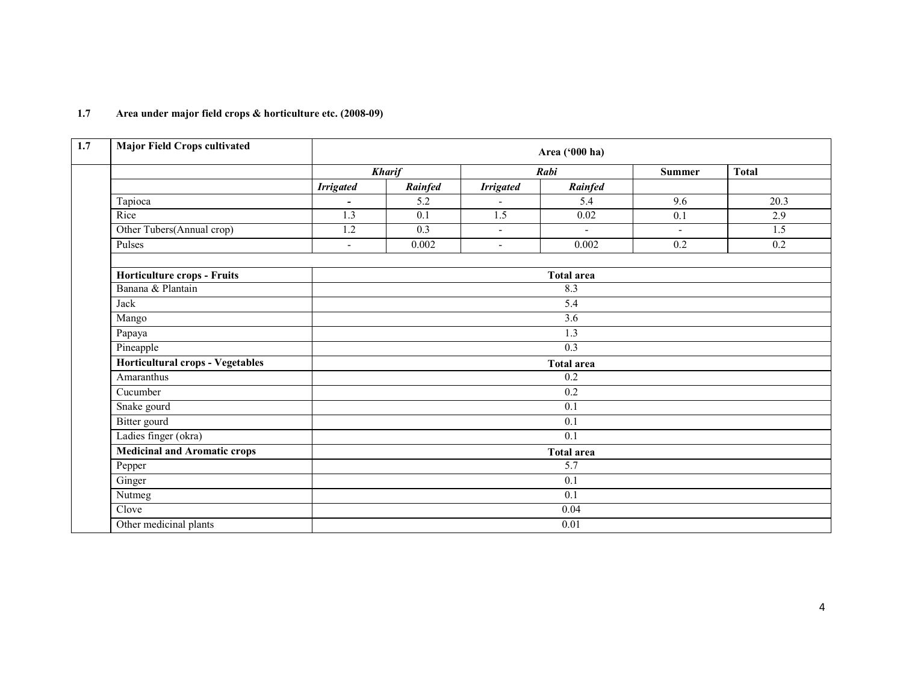| <b>Major Field Crops cultivated</b>     |                  |                  |                          | Area ('000 ha)    |                  |                  |  |
|-----------------------------------------|------------------|------------------|--------------------------|-------------------|------------------|------------------|--|
|                                         |                  | <b>Kharif</b>    |                          | Rabi              | <b>Summer</b>    | <b>Total</b>     |  |
|                                         | <b>Irrigated</b> | Rainfed          | <b>Irrigated</b>         | Rainfed           |                  |                  |  |
| Tapioca                                 | $\blacksquare$   | 5.2              | $\overline{\phantom{a}}$ | 5.4               | 9.6              | 20.3             |  |
| Rice                                    | 1.3              | 0.1              | 1.5                      | 0.02              | 0.1              | 2.9              |  |
| Other Tubers(Annual crop)               | 1.2              | 0.3              | $\blacksquare$           | $\sim$            | $\blacksquare$   | $\overline{1.5}$ |  |
| Pulses                                  | $\blacksquare$   | 0.002            | $\blacksquare$           | 0.002             | $\overline{0.2}$ | $\overline{0.2}$ |  |
| Horticulture crops - Fruits             |                  |                  |                          | <b>Total area</b> |                  |                  |  |
| Banana & Plantain                       |                  |                  |                          | 8.3               |                  |                  |  |
| Jack                                    |                  |                  |                          | $\overline{5.4}$  |                  |                  |  |
| Mango                                   |                  |                  |                          | 3.6               |                  |                  |  |
| Papaya                                  |                  |                  |                          | $\overline{1.3}$  |                  |                  |  |
| Pineapple                               |                  |                  |                          | 0.3               |                  |                  |  |
| <b>Horticultural crops - Vegetables</b> |                  |                  |                          | <b>Total area</b> |                  |                  |  |
| Amaranthus                              |                  |                  |                          | 0.2               |                  |                  |  |
| Cucumber                                |                  |                  |                          | $\overline{0.2}$  |                  |                  |  |
| Snake gourd                             |                  |                  |                          | 0.1               |                  |                  |  |
| Bitter gourd                            |                  |                  |                          | $\overline{0.1}$  |                  |                  |  |
| Ladies finger (okra)                    |                  |                  |                          | 0.1               |                  |                  |  |
| <b>Medicinal and Aromatic crops</b>     |                  |                  |                          | <b>Total area</b> |                  |                  |  |
| Pepper                                  |                  |                  |                          | 5.7               |                  |                  |  |
| Ginger                                  |                  | $\overline{0.1}$ |                          |                   |                  |                  |  |
| Nutmeg                                  |                  |                  |                          | $\overline{0.1}$  |                  |                  |  |
| Clove                                   |                  |                  |                          | 0.04              |                  |                  |  |
| Other medicinal plants                  |                  |                  |                          | 0.01              |                  |                  |  |

#### 1.7 Area under major field crops & horticulture etc. (2008-09)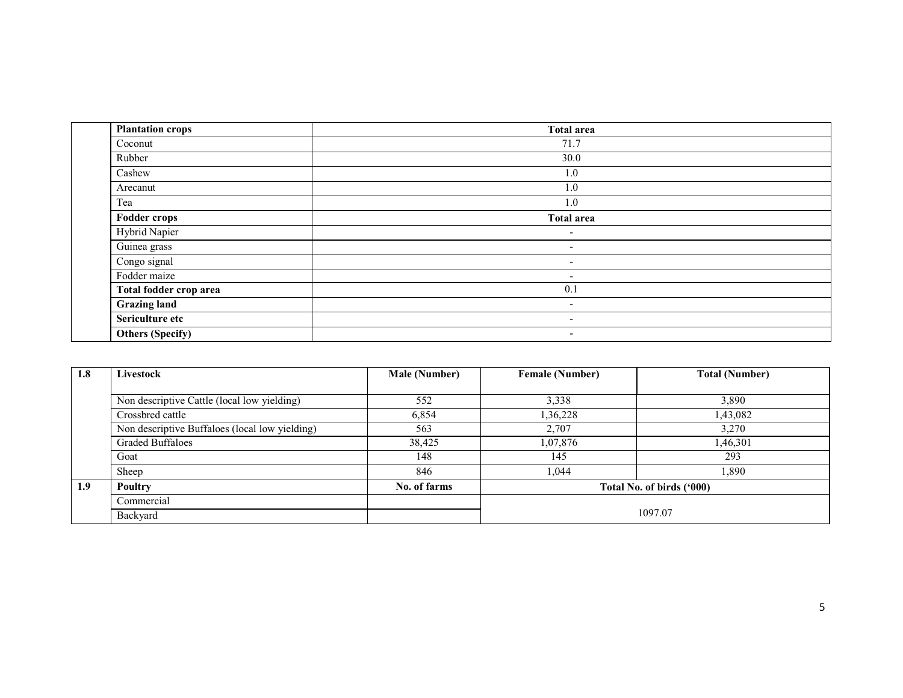| <b>Plantation crops</b> | <b>Total area</b>        |
|-------------------------|--------------------------|
| Coconut                 | 71.7                     |
| Rubber                  | 30.0                     |
| Cashew                  | 1.0                      |
| Arecanut                | 1.0                      |
| Tea                     | 1.0                      |
| <b>Fodder crops</b>     | <b>Total area</b>        |
| Hybrid Napier           | $\overline{\phantom{0}}$ |
| Guinea grass            | $\overline{\phantom{0}}$ |
| Congo signal            | $\overline{\phantom{a}}$ |
| Fodder maize            | $\overline{\phantom{a}}$ |
| Total fodder crop area  | 0.1                      |
| <b>Grazing land</b>     | $\sim$                   |
| Sericulture etc         | $\overline{\phantom{a}}$ |
| Others (Specify)        | $\overline{\phantom{0}}$ |

| 1.8 | Livestock                                      | <b>Male (Number)</b> | <b>Female (Number)</b> | <b>Total (Number)</b>     |
|-----|------------------------------------------------|----------------------|------------------------|---------------------------|
|     |                                                |                      |                        |                           |
|     | Non descriptive Cattle (local low yielding)    | 552                  | 3,338                  | 3,890                     |
|     | Crossbred cattle                               | 6,854                | 1,36,228               | 1,43,082                  |
|     | Non descriptive Buffaloes (local low yielding) | 563                  | 2,707                  | 3,270                     |
|     | <b>Graded Buffaloes</b>                        | 38,425               | 1,07,876               | 1,46,301                  |
|     | Goat                                           | 148                  | 145                    | 293                       |
|     | Sheep                                          | 846                  | 1.044                  | 1,890                     |
| 1.9 | Poultry                                        | No. of farms         |                        | Total No. of birds ('000) |
|     | Commercial                                     |                      |                        |                           |
|     | Backyard                                       |                      | 1097.07                |                           |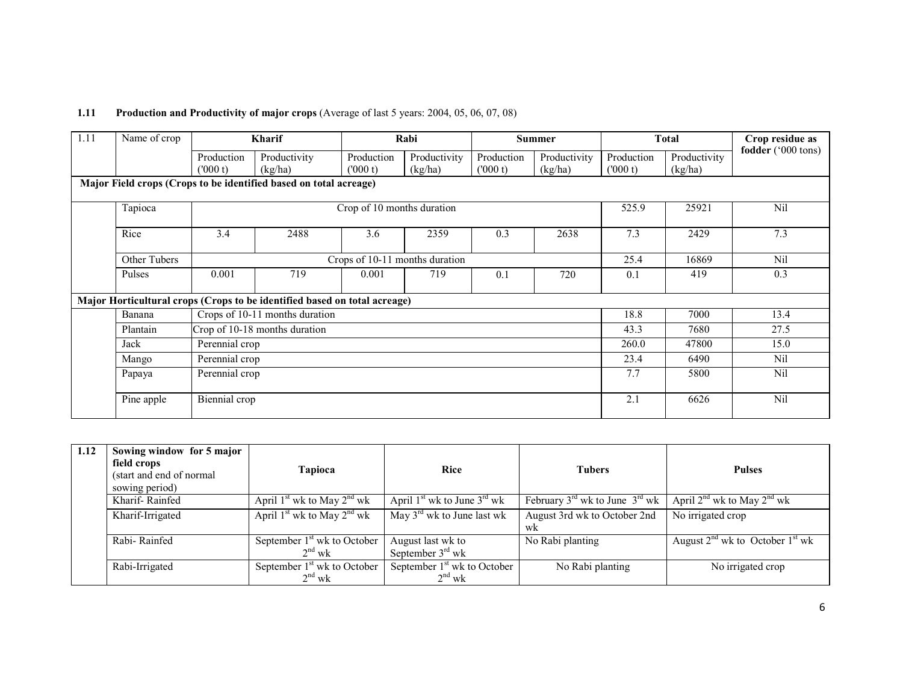## 1.11 Production and Productivity of major crops (Average of last 5 years: 2004, 05, 06, 07, 08)

| 1.11 | Name of crop                                                      |                       | <b>Kharif</b>                                                             |                            | Rabi                           |                       | <b>Summer</b>           |                       | Total                   | Crop residue as    |  |
|------|-------------------------------------------------------------------|-----------------------|---------------------------------------------------------------------------|----------------------------|--------------------------------|-----------------------|-------------------------|-----------------------|-------------------------|--------------------|--|
|      |                                                                   | Production<br>(000 t) | Productivity<br>(kg/ha)                                                   | Production<br>(000 t)      | Productivity<br>(kg/ha)        | Production<br>(000 t) | Productivity<br>(kg/ha) | Production<br>(000 t) | Productivity<br>(kg/ha) | fodder ('000 tons) |  |
|      | Major Field crops (Crops to be identified based on total acreage) |                       |                                                                           |                            |                                |                       |                         |                       |                         |                    |  |
|      | Tapioca                                                           |                       |                                                                           | Crop of 10 months duration |                                |                       |                         | 525.9                 | 25921                   | Nil                |  |
|      | Rice                                                              | 3.4                   | 2488                                                                      | 3.6                        | 2359                           | 0.3                   | 2638                    | 7.3                   | 2429                    | 7.3                |  |
|      | Other Tubers                                                      |                       |                                                                           |                            | Crops of 10-11 months duration |                       |                         | 25.4                  | 16869                   | Nil                |  |
|      | Pulses                                                            | 0.001                 | 719                                                                       | 0.001                      | 719                            | 0.1                   | 720                     | 0.1                   | 419                     | 0.3                |  |
|      |                                                                   |                       | Major Horticultural crops (Crops to be identified based on total acreage) |                            |                                |                       |                         |                       |                         |                    |  |
|      | Banana                                                            |                       | Crops of 10-11 months duration                                            |                            |                                |                       |                         | 18.8                  | 7000                    | 13.4               |  |
|      | Plantain                                                          |                       | Crop of 10-18 months duration                                             |                            |                                |                       |                         | 43.3                  | 7680                    | 27.5               |  |
|      | Jack                                                              | Perennial crop        |                                                                           |                            |                                |                       |                         | 260.0                 | 47800                   | 15.0               |  |
|      | Mango                                                             |                       | Perennial crop                                                            |                            |                                |                       |                         | 23.4                  | 6490                    | Nil                |  |
|      | Papaya                                                            |                       | Perennial crop                                                            |                            |                                |                       |                         |                       | 5800                    | Nil                |  |
|      | Pine apple                                                        | Biennial crop         |                                                                           |                            |                                |                       |                         | 2.1                   | 6626                    | Nil                |  |

| 1.12 | Sowing window for 5 major<br>field crops<br>(start and end of normal)<br>sowing period) | Tapioca                                                | <b>Rice</b>                               | <b>Tubers</b>                                          | <b>Pulses</b>                             |
|------|-----------------------------------------------------------------------------------------|--------------------------------------------------------|-------------------------------------------|--------------------------------------------------------|-------------------------------------------|
|      | Kharif-Rainfed                                                                          | April $1st$ wk to May $2nd$ wk                         | April $1st$ wk to June $3rd$ wk           | February $3^{\text{rd}}$ wk to June $3^{\text{rd}}$ wk | April $2^{nd}$ wk to May $2^{nd}$ wk      |
|      | Kharif-Irrigated                                                                        | April $1^{st}$ wk to May $2^{nd}$ wk                   | May $3^{\text{rd}}$ wk to June last wk    | August 3rd wk to October 2nd<br>wk                     | No irrigated crop                         |
|      | Rabi-Rainfed                                                                            | September 1 <sup>st</sup> wk to October<br>$2^{nd}$ wk | August last wk to<br>September $3rd$ wk   | No Rabi planting                                       | August $2^{nd}$ wk to October $1^{st}$ wk |
|      | Rabi-Irrigated                                                                          | September 1 <sup>st</sup> wk to October<br>$2nd$ wk    | September $1st$ wk to October<br>$2nd$ wk | No Rabi planting                                       | No irrigated crop                         |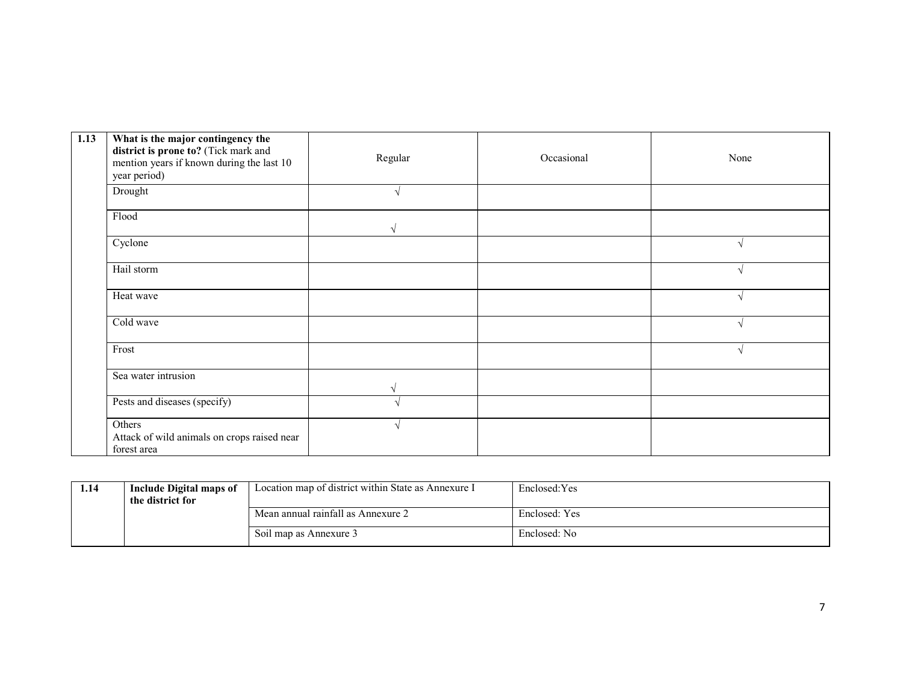| 1.13 | What is the major contingency the<br>district is prone to? (Tick mark and<br>mention years if known during the last 10<br>year period) | Regular    | Occasional | None       |
|------|----------------------------------------------------------------------------------------------------------------------------------------|------------|------------|------------|
|      | Drought                                                                                                                                |            |            |            |
|      | Flood                                                                                                                                  | $\sqrt{ }$ |            |            |
|      | Cyclone                                                                                                                                |            |            |            |
|      | Hail storm                                                                                                                             |            |            |            |
|      | Heat wave                                                                                                                              |            |            |            |
|      | Cold wave                                                                                                                              |            |            |            |
|      | Frost                                                                                                                                  |            |            | $\sqrt{ }$ |
|      | Sea water intrusion                                                                                                                    |            |            |            |
|      | Pests and diseases (specify)                                                                                                           |            |            |            |
|      | Others<br>Attack of wild animals on crops raised near<br>forest area                                                                   |            |            |            |

| 1.14 | Include Digital maps of<br>the district for | Location map of district within State as Annexure I | Enclosed: Yes |
|------|---------------------------------------------|-----------------------------------------------------|---------------|
|      |                                             | Mean annual rainfall as Annexure 2                  | Enclosed: Yes |
|      |                                             | Soil map as Annexure 3                              | Enclosed: No  |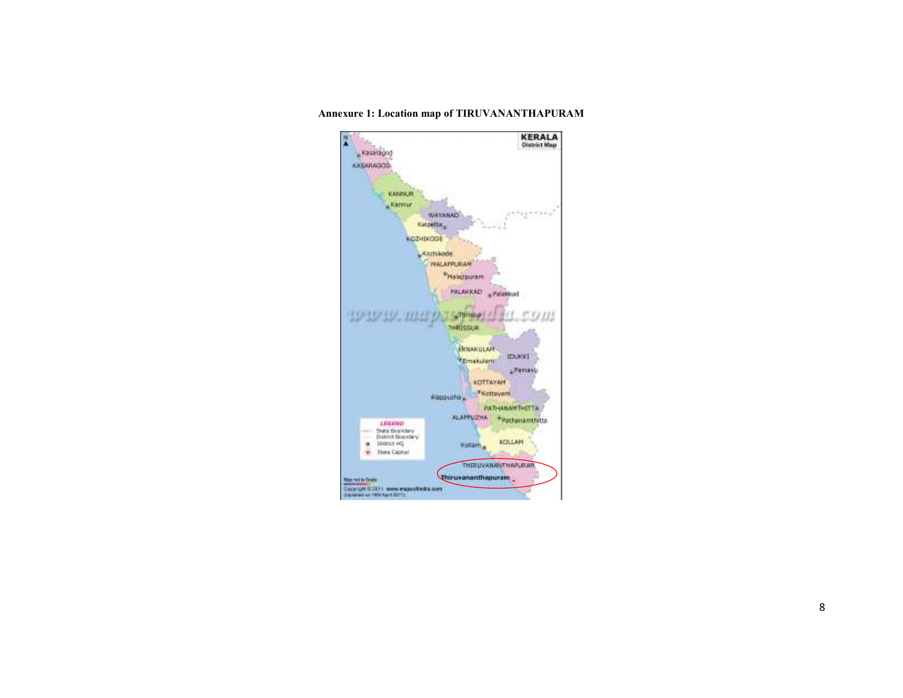**KERALA**<br>District Map X  $-$ Fasaition KASARAGOD KANNAM Kannur  $1 + 2 + 4 + 1 + 1$ WAYARAD Kalpetta<sub>x</sub> козникове .xozhkode **HALAPPLITAN** Malapuram PALAKKAD sPalatkad **Linkweit** арарар, шагр **1711 THRUSSUR** ERNAKOLAH поскот Emakulam **Literature** KOTTAYAH Woopuring <sup>of</sup> Kottayani PATHANAMTHETTA ALAPTUZHA \*Patteriamthytta **LEGEND** State Boardery<br>District Boardery KOLLAN  $\alpha$  . District in  $\alpha$ Kolam H State Capital THERIDVANANTHAPLANA **Chirurananthepuram** Net not to three: Coopigation (1) www.ingpartedia.com<br>consideration.com

Annexure 1: Location map of TIRUVANANTHAPURAM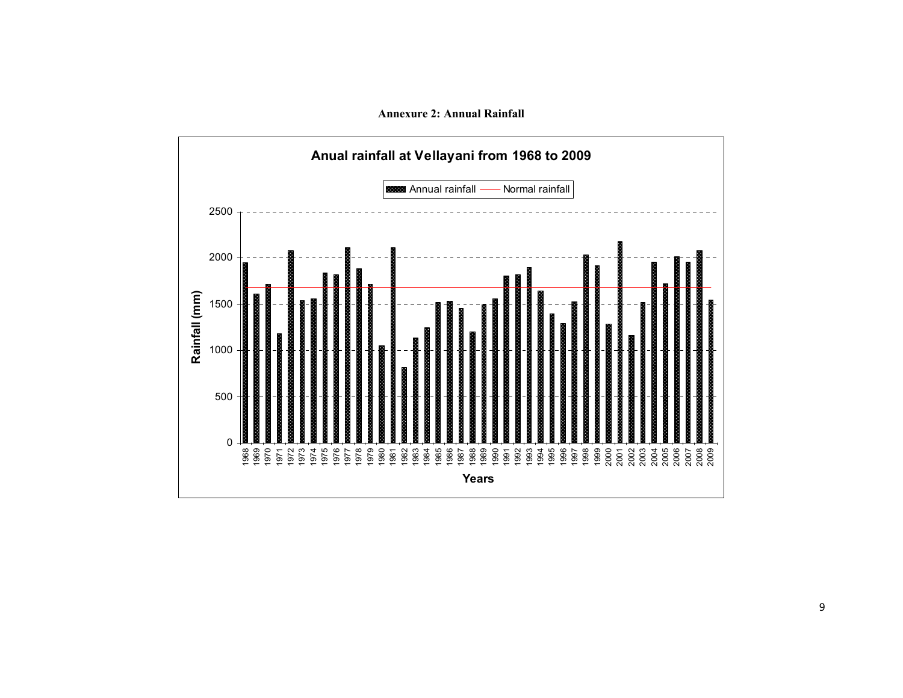

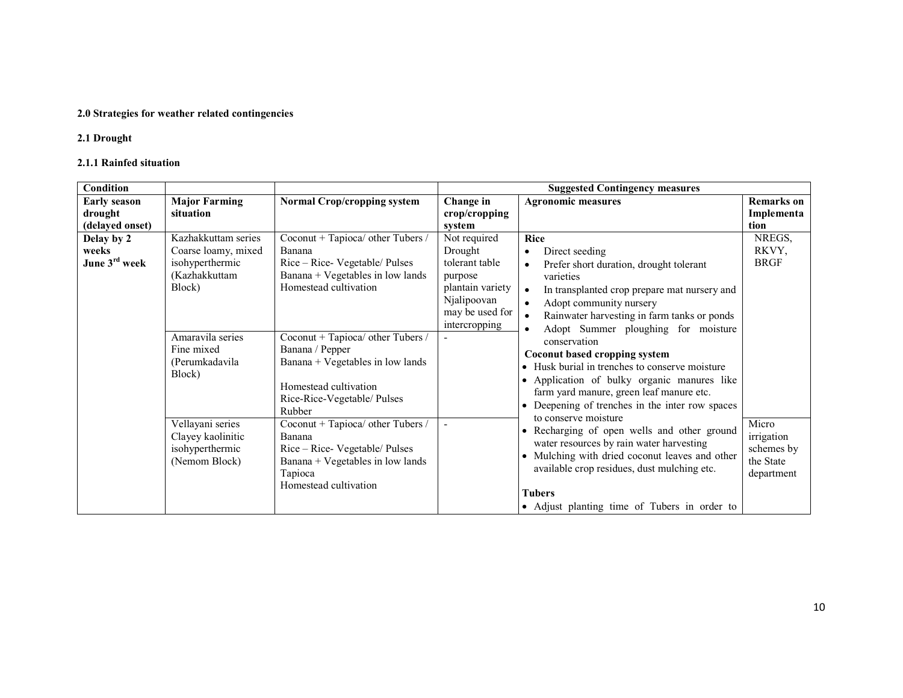### 2.0 Strategies for weather related contingencies

# 2.1 Drought

## 2.1.1 Rainfed situation

| <b>Condition</b>                                                                                                                                                                                                                   |                                                                                                                                                                                                                          |                                                                                                                                                                                                                                                                                   |                                                                                                                                                                                                                             | <b>Suggested Contingency measures</b>                                                                                                                                                                                                                                     |                                          |
|------------------------------------------------------------------------------------------------------------------------------------------------------------------------------------------------------------------------------------|--------------------------------------------------------------------------------------------------------------------------------------------------------------------------------------------------------------------------|-----------------------------------------------------------------------------------------------------------------------------------------------------------------------------------------------------------------------------------------------------------------------------------|-----------------------------------------------------------------------------------------------------------------------------------------------------------------------------------------------------------------------------|---------------------------------------------------------------------------------------------------------------------------------------------------------------------------------------------------------------------------------------------------------------------------|------------------------------------------|
| <b>Early season</b><br>drought<br>(delayed onset)                                                                                                                                                                                  | <b>Major Farming</b><br>situation                                                                                                                                                                                        | <b>Normal Crop/cropping system</b>                                                                                                                                                                                                                                                | Change in<br>crop/cropping<br>system                                                                                                                                                                                        | <b>Agronomic measures</b>                                                                                                                                                                                                                                                 | <b>Remarks</b> on<br>Implementa<br>tion. |
| Delay by 2<br>weeks<br>June 3rd week                                                                                                                                                                                               | Kazhakkuttam series<br>Coarse loamy, mixed<br>isohyperthermic<br>(Kazhakkuttam<br>Block)                                                                                                                                 | Coconut + Tapioca/ other Tubers /<br>Banana<br>Rice – Rice- Vegetable/ Pulses<br>Banana + Vegetables in low lands<br>Homestead cultivation                                                                                                                                        | Not required<br>Drought<br>tolerant table<br>purpose<br>plantain variety<br>Njalipoovan<br>may be used for<br>intercropping                                                                                                 | Rice<br>Direct seeding<br>$\bullet$<br>Prefer short duration, drought tolerant<br>varieties<br>In transplanted crop prepare mat nursery and<br>$\bullet$<br>Adopt community nursery<br>Rainwater harvesting in farm tanks or ponds<br>Adopt Summer ploughing for moisture | NREGS,<br>RKVY,<br><b>BRGF</b>           |
|                                                                                                                                                                                                                                    | Amaravila series<br>Coconut + Tapioca/ other Tubers /<br>Fine mixed<br>Banana / Pepper<br>Banana + Vegetables in low lands<br>(Perumkadavila<br>Block)<br>Homestead cultivation<br>Rice-Rice-Vegetable/ Pulses<br>Rubber | conservation<br>$\bullet$                                                                                                                                                                                                                                                         | Coconut based cropping system<br>• Husk burial in trenches to conserve moisture<br>Application of bulky organic manures like<br>farm yard manure, green leaf manure etc.<br>• Deepening of trenches in the inter row spaces |                                                                                                                                                                                                                                                                           |                                          |
| Coconut + Tapioca/ other Tubers /<br>Vellayani series<br>Clayey kaolinitic<br>Banana<br>isohyperthermic<br>Rice – Rice- Vegetable/ Pulses<br>(Nemom Block)<br>Banana + Vegetables in low lands<br>Tapioca<br>Homestead cultivation |                                                                                                                                                                                                                          | to conserve moisture<br>• Recharging of open wells and other ground<br>water resources by rain water harvesting<br>• Mulching with dried coconut leaves and other<br>available crop residues, dust mulching etc.<br><b>Tubers</b><br>• Adjust planting time of Tubers in order to | Micro<br>irrigation<br>schemes by<br>the State<br>department                                                                                                                                                                |                                                                                                                                                                                                                                                                           |                                          |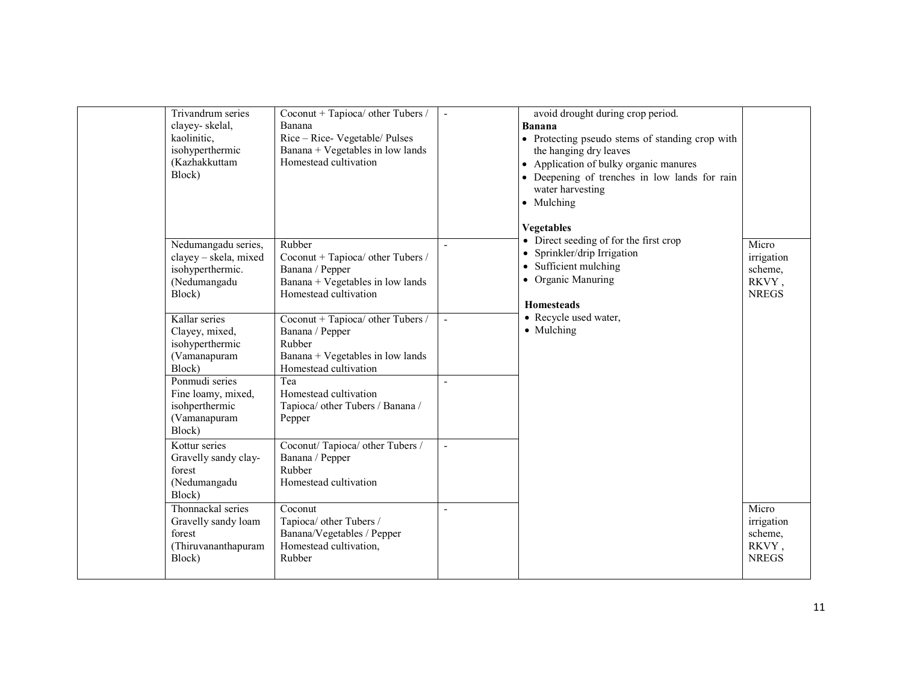| Trivandrum series<br>clayey-skelal,<br>kaolinitic,<br>isohyperthermic<br>(Kazhakkuttam<br>Block) | Coconut + Tapioca/ other Tubers /<br>Banana<br>Rice – Rice- Vegetable/ Pulses<br>Banana + Vegetables in low lands<br>Homestead cultivation |                | avoid drought during crop period.<br><b>Banana</b><br>• Protecting pseudo stems of standing crop with<br>the hanging dry leaves<br>• Application of bulky organic manures<br>• Deepening of trenches in low lands for rain<br>water harvesting<br>• Mulching<br><b>Vegetables</b> |                                                         |
|--------------------------------------------------------------------------------------------------|--------------------------------------------------------------------------------------------------------------------------------------------|----------------|-----------------------------------------------------------------------------------------------------------------------------------------------------------------------------------------------------------------------------------------------------------------------------------|---------------------------------------------------------|
| Nedumangadu series,<br>clayey - skela, mixed<br>isohyperthermic.<br>(Nedumangadu<br>Block)       | Rubber<br>Coconut + Tapioca/ other Tubers /<br>Banana / Pepper<br>Banana + Vegetables in low lands<br>Homestead cultivation                |                | • Direct seeding of for the first crop<br>• Sprinkler/drip Irrigation<br>• Sufficient mulching<br>• Organic Manuring<br><b>Homesteads</b>                                                                                                                                         | Micro<br>irrigation<br>scheme,<br>RKVY,<br><b>NREGS</b> |
| Kallar series<br>Clayey, mixed,<br>isohyperthermic<br>(Vamanapuram<br>Block)                     | Coconut + Tapioca/ other Tubers /<br>Banana / Pepper<br>Rubber<br>Banana + Vegetables in low lands<br>Homestead cultivation                | $\blacksquare$ | • Recycle used water,<br>• Mulching                                                                                                                                                                                                                                               |                                                         |
| Ponmudi series<br>Fine loamy, mixed,<br>isohperthermic<br>(Vamanapuram<br>Block)                 | Tea<br>Homestead cultivation<br>Tapioca/ other Tubers / Banana /<br>Pepper                                                                 |                |                                                                                                                                                                                                                                                                                   |                                                         |
| Kottur series<br>Gravelly sandy clay-<br>forest<br>(Nedumangadu<br>Block)                        | Coconut/Tapioca/ other Tubers /<br>Banana / Pepper<br>Rubber<br>Homestead cultivation                                                      | $\overline{a}$ |                                                                                                                                                                                                                                                                                   |                                                         |
| Thonnackal series<br>Gravelly sandy loam<br>forest<br>(Thiruvananthapuram<br>Block)              | Coconut<br>Tapioca/ other Tubers /<br>Banana/Vegetables / Pepper<br>Homestead cultivation,<br>Rubber                                       |                |                                                                                                                                                                                                                                                                                   | Micro<br>irrigation<br>scheme,<br>RKVY,<br><b>NREGS</b> |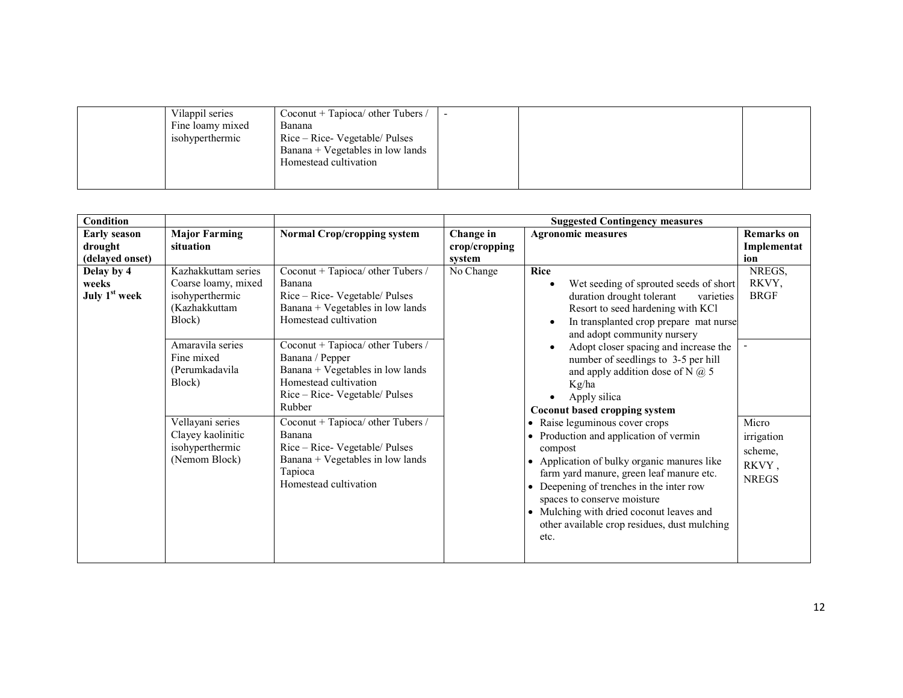| Vilappil series  | Coconut + Tapioca/ other Tubers / | $\overline{\phantom{0}}$ |  |
|------------------|-----------------------------------|--------------------------|--|
| Fine loamy mixed | Banana                            |                          |  |
| isohyperthermic  | Rice – Rice- Vegetable/ Pulses    |                          |  |
|                  | Banana + Vegetables in low lands  |                          |  |
|                  | Homestead cultivation             |                          |  |
|                  |                                   |                          |  |
|                  |                                   |                          |  |

| <b>Major Farming</b><br><b>Normal Crop/cropping system</b><br><b>Early season</b><br>Change in<br><b>Agronomic measures</b><br><b>Remarks</b> on<br>situation<br>drought<br>crop/cropping<br>Implementat<br>(delayed onset)<br>system<br>ion<br>Coconut + Tapioca/ other Tubers /<br>NREGS,<br>Kazhakkuttam series<br>No Change<br><b>Rice</b><br>Delay by 4<br>Coarse loamy, mixed<br>RKVY,<br>weeks<br>Banana<br>Wet seeding of sprouted seeds of short<br>$\bullet$<br>July 1 <sup>st</sup> week<br><b>BRGF</b><br>isohyperthermic<br>Rice - Rice- Vegetable/ Pulses<br>duration drought tolerant<br>varieties<br>(Kazhakkuttam<br>Banana + Vegetables in low lands<br>Resort to seed hardening with KCl<br>Homestead cultivation<br>Block)<br>In transplanted crop prepare mat nurse<br>$\bullet$<br>and adopt community nursery<br>Amaravila series<br>Coconut + Tapioca/ other Tubers /<br>Adopt closer spacing and increase the<br>Banana / Pepper<br>Fine mixed<br>number of seedlings to 3-5 per hill<br>Banana + Vegetables in low lands<br>(Perumkadavila<br>and apply addition dose of N $(2)$ 5<br>Homestead cultivation<br>Block)<br>Kg/ha<br>Rice - Rice- Vegetable/ Pulses<br>Apply silica<br>Rubber<br>Coconut based cropping system<br>Vellayani series<br>• Raise leguminous cover crops<br>Micro<br>Coconut + Tapioca/ other Tubers /<br>Clayey kaolinitic<br>Banana<br>• Production and application of vermin<br>irrigation<br>isohyperthermic<br>Rice – Rice- Vegetable/ Pulses<br>compost<br>scheme,<br>(Nemom Block)<br>Banana + Vegetables in low lands<br>• Application of bulky organic manures like<br>RKVY,<br>Tapioca<br>farm yard manure, green leaf manure etc.<br><b>NREGS</b><br>Homestead cultivation<br>• Deepening of trenches in the inter row<br>spaces to conserve moisture<br>• Mulching with dried coconut leaves and<br>other available crop residues, dust mulching | Condition |  | <b>Suggested Contingency measures</b> |  |
|-----------------------------------------------------------------------------------------------------------------------------------------------------------------------------------------------------------------------------------------------------------------------------------------------------------------------------------------------------------------------------------------------------------------------------------------------------------------------------------------------------------------------------------------------------------------------------------------------------------------------------------------------------------------------------------------------------------------------------------------------------------------------------------------------------------------------------------------------------------------------------------------------------------------------------------------------------------------------------------------------------------------------------------------------------------------------------------------------------------------------------------------------------------------------------------------------------------------------------------------------------------------------------------------------------------------------------------------------------------------------------------------------------------------------------------------------------------------------------------------------------------------------------------------------------------------------------------------------------------------------------------------------------------------------------------------------------------------------------------------------------------------------------------------------------------------------------------------------------------------------------------------------------------------|-----------|--|---------------------------------------|--|
|                                                                                                                                                                                                                                                                                                                                                                                                                                                                                                                                                                                                                                                                                                                                                                                                                                                                                                                                                                                                                                                                                                                                                                                                                                                                                                                                                                                                                                                                                                                                                                                                                                                                                                                                                                                                                                                                                                                 |           |  |                                       |  |
| etc.                                                                                                                                                                                                                                                                                                                                                                                                                                                                                                                                                                                                                                                                                                                                                                                                                                                                                                                                                                                                                                                                                                                                                                                                                                                                                                                                                                                                                                                                                                                                                                                                                                                                                                                                                                                                                                                                                                            |           |  |                                       |  |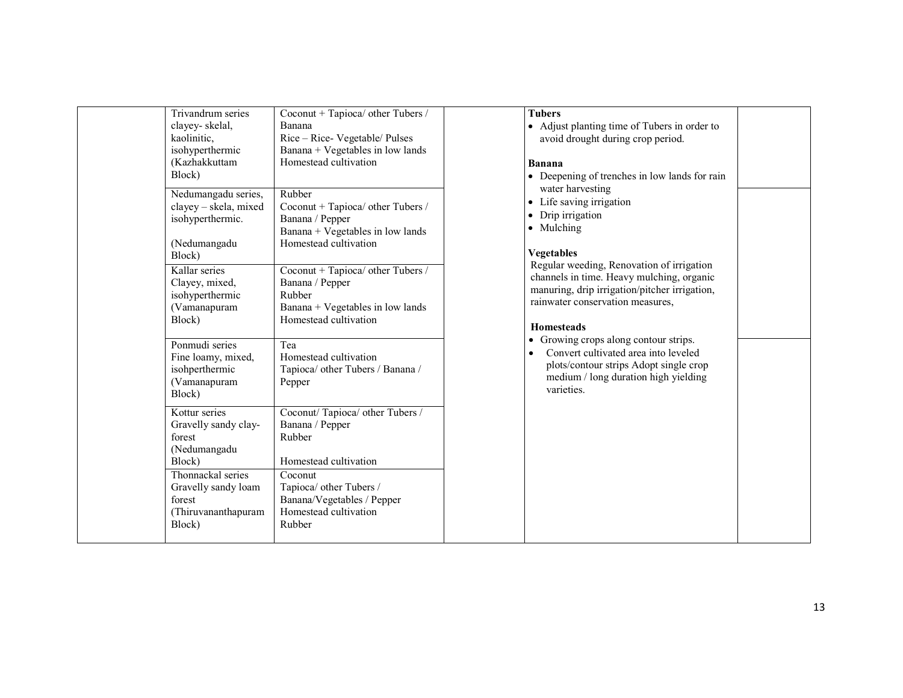| <b>Tubers</b><br>• Adjust planting time of Tubers in order to<br>avoid drought during crop period.<br>Banana<br>• Deepening of trenches in low lands for rain | Coconut + Tapioca/ other Tubers /<br>Banana<br>Rice - Rice- Vegetable/ Pulses<br>Banana + Vegetables in low lands<br>Homestead cultivation                                                                                | Trivandrum series<br>clayey-skelal,<br>kaolinitic,<br>isohyperthermic<br>(Kazhakkuttam<br>Block)                                                |
|---------------------------------------------------------------------------------------------------------------------------------------------------------------|---------------------------------------------------------------------------------------------------------------------------------------------------------------------------------------------------------------------------|-------------------------------------------------------------------------------------------------------------------------------------------------|
| • Life saving irrigation<br>• Drip irrigation<br>• Mulching<br><b>Vegetables</b>                                                                              | Nedumangadu series,<br>Rubber<br>clayey - skela, mixed<br>Coconut + Tapioca/ other Tubers /<br>isohyperthermic.<br>Banana / Pepper<br>Banana + Vegetables in low lands<br>Homestead cultivation<br>(Nedumangadu<br>Block) |                                                                                                                                                 |
| channels in time. Heavy mulching, organic<br>manuring, drip irrigation/pitcher irrigation,<br>rainwater conservation measures.<br><b>Homesteads</b>           | Coconut + Tapioca/ other Tubers /<br>Banana / Pepper<br>Rubber<br>Banana + Vegetables in low lands<br>Homestead cultivation                                                                                               | Kallar series<br>Clayey, mixed,<br>isohyperthermic<br>(Vamanapuram<br>Block)                                                                    |
| Convert cultivated area into leveled<br>plots/contour strips Adopt single crop<br>medium / long duration high yielding<br>varieties.                          | Ponmudi series<br>Tea<br>Homestead cultivation<br>Fine loamy, mixed,<br>isohperthermic<br>Tapioca/ other Tubers / Banana /<br>(Vamanapuram<br>Pepper<br>Block)                                                            |                                                                                                                                                 |
|                                                                                                                                                               | Banana / Pepper<br>Rubber<br>Homestead cultivation<br>Coconut<br>Tapioca/ other Tubers /<br>Banana/Vegetables / Pepper<br>Homestead cultivation<br>Rubber                                                                 | Gravelly sandy clay-<br>forest<br>(Nedumangadu<br>Block)<br>Thonnackal series<br>Gravelly sandy loam<br>forest<br>(Thiruvananthapuram<br>Block) |
| water harvesting<br>Regular weeding, Renovation of irrigation<br>• Growing crops along contour strips.                                                        | Coconut/Tapioca/ other Tubers /                                                                                                                                                                                           | Kottur series                                                                                                                                   |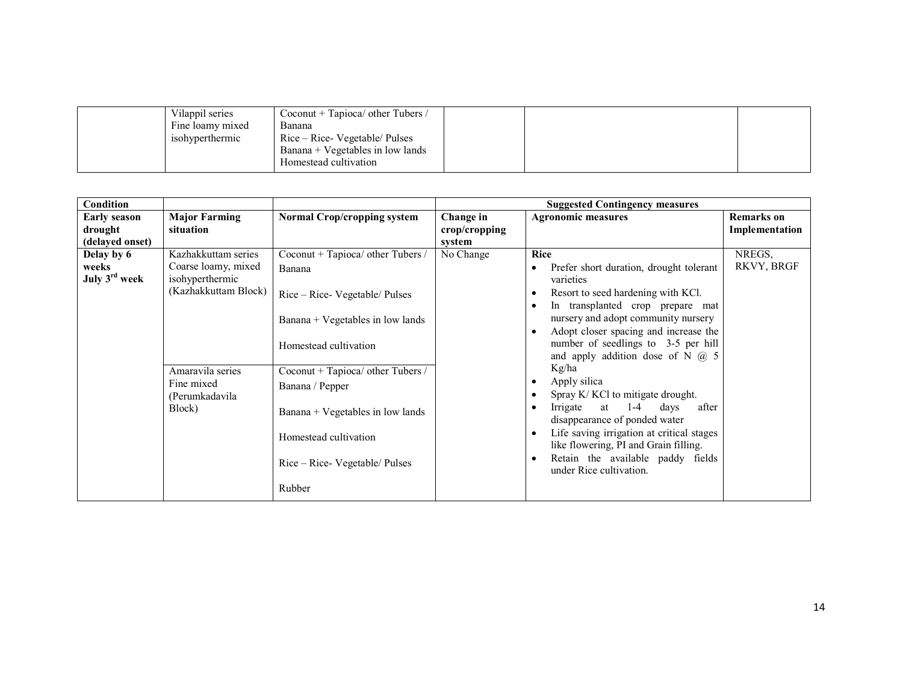| Vilappil series  | Coconut + Tapioca/ other Tubers / |  |  |
|------------------|-----------------------------------|--|--|
| Fine loamy mixed | Banana                            |  |  |
| isohyperthermic  | Rice – Rice- Vegetable/ Pulses    |  |  |
|                  | Banana + Vegetables in low lands  |  |  |
|                  | Homestead cultivation             |  |  |

| <b>Condition</b>                                  |                                                                                                                                                     |                                                                                                                                                                                                                                                                                                   |                                      | <b>Suggested Contingency measures</b>                                                                                                                                                                                                                                                                                                                                                                                                                                                                                                                                                                                                                                                                      |                                     |
|---------------------------------------------------|-----------------------------------------------------------------------------------------------------------------------------------------------------|---------------------------------------------------------------------------------------------------------------------------------------------------------------------------------------------------------------------------------------------------------------------------------------------------|--------------------------------------|------------------------------------------------------------------------------------------------------------------------------------------------------------------------------------------------------------------------------------------------------------------------------------------------------------------------------------------------------------------------------------------------------------------------------------------------------------------------------------------------------------------------------------------------------------------------------------------------------------------------------------------------------------------------------------------------------------|-------------------------------------|
| <b>Early season</b><br>drought<br>(delayed onset) | <b>Major Farming</b><br>situation                                                                                                                   | <b>Normal Crop/cropping system</b>                                                                                                                                                                                                                                                                | Change in<br>crop/cropping<br>system | <b>Agronomic measures</b>                                                                                                                                                                                                                                                                                                                                                                                                                                                                                                                                                                                                                                                                                  | <b>Remarks</b> on<br>Implementation |
| Delay by 6<br>weeks<br>July 3 <sup>rd</sup> week  | Kazhakkuttam series<br>Coarse loamy, mixed<br>isohyperthermic<br>(Kazhakkuttam Block)<br>Amaravila series<br>Fine mixed<br>(Perumkadavila<br>Block) | Coconut + Tapioca/ other Tubers /<br>Banana<br>Rice – Rice- Vegetable/ Pulses<br>Banana + Vegetables in low lands<br>Homestead cultivation<br>Coconut + Tapioca/ other Tubers /<br>Banana / Pepper<br>Banana + Vegetables in low lands<br>Homestead cultivation<br>Rice – Rice- Vegetable/ Pulses | No Change                            | Rice<br>Prefer short duration, drought tolerant<br>varieties<br>Resort to seed hardening with KCl.<br>$\bullet$<br>In transplanted crop prepare mat<br>$\bullet$<br>nursery and adopt community nursery<br>Adopt closer spacing and increase the<br>$\bullet$<br>number of seedlings to 3-5 per hill<br>and apply addition dose of N $(2)$ 5<br>Kg/ha<br>Apply silica<br>$\bullet$<br>Spray K/KCl to mitigate drought.<br>$\bullet$<br>at $1-4$<br>Irrigate<br>days<br>after<br>$\bullet$<br>disappearance of ponded water<br>Life saving irrigation at critical stages<br>$\bullet$<br>like flowering, PI and Grain filling.<br>Retain the available paddy fields<br>$\bullet$<br>under Rice cultivation. | NREGS,<br>RKVY, BRGF                |
|                                                   |                                                                                                                                                     | Rubber                                                                                                                                                                                                                                                                                            |                                      |                                                                                                                                                                                                                                                                                                                                                                                                                                                                                                                                                                                                                                                                                                            |                                     |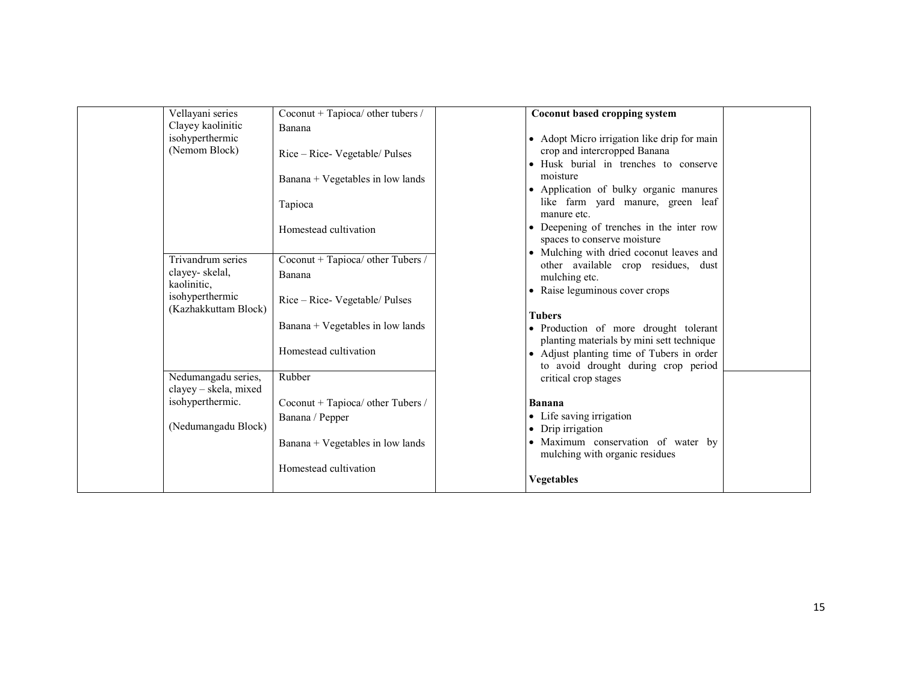| Vellayani series                          | Coconut + Tapioca/ other tubers / | Coconut based cropping system                                                   |  |
|-------------------------------------------|-----------------------------------|---------------------------------------------------------------------------------|--|
| Clayey kaolinitic                         | Banana                            |                                                                                 |  |
| isohyperthermic                           |                                   | • Adopt Micro irrigation like drip for main                                     |  |
| (Nemom Block)                             | Rice – Rice- Vegetable/ Pulses    | crop and intercropped Banana                                                    |  |
|                                           |                                   | • Husk burial in trenches to conserve                                           |  |
|                                           | Banana + Vegetables in low lands  | moisture                                                                        |  |
|                                           |                                   | • Application of bulky organic manures                                          |  |
|                                           | Tapioca                           | like farm yard manure, green leaf                                               |  |
|                                           |                                   | manure etc.                                                                     |  |
|                                           | Homestead cultivation             | • Deepening of trenches in the inter row                                        |  |
|                                           |                                   | spaces to conserve moisture                                                     |  |
| Trivandrum series                         | Coconut + Tapioca/ other Tubers / | • Mulching with dried coconut leaves and<br>other available crop residues, dust |  |
| clayey-skelal,                            | Banana                            | mulching etc.                                                                   |  |
| kaolinitic,                               |                                   | • Raise leguminous cover crops                                                  |  |
| isohyperthermic                           | Rice – Rice- Vegetable/ Pulses    |                                                                                 |  |
| (Kazhakkuttam Block)                      |                                   | <b>Tubers</b>                                                                   |  |
|                                           | Banana + Vegetables in low lands  | · Production of more drought tolerant                                           |  |
|                                           |                                   | planting materials by mini sett technique                                       |  |
|                                           | Homestead cultivation             | • Adjust planting time of Tubers in order                                       |  |
|                                           |                                   | to avoid drought during crop period                                             |  |
| Nedumangadu series,                       | Rubber                            | critical crop stages                                                            |  |
| clayey - skela, mixed<br>isohyperthermic. |                                   |                                                                                 |  |
|                                           | Coconut + Tapioca/ other Tubers / | <b>Banana</b>                                                                   |  |
| (Nedumangadu Block)                       | Banana / Pepper                   | • Life saving irrigation<br>• Drip irrigation                                   |  |
|                                           |                                   | · Maximum conservation of water by                                              |  |
|                                           | Banana + Vegetables in low lands  | mulching with organic residues                                                  |  |
|                                           | Homestead cultivation             |                                                                                 |  |
|                                           |                                   | <b>Vegetables</b>                                                               |  |
|                                           |                                   |                                                                                 |  |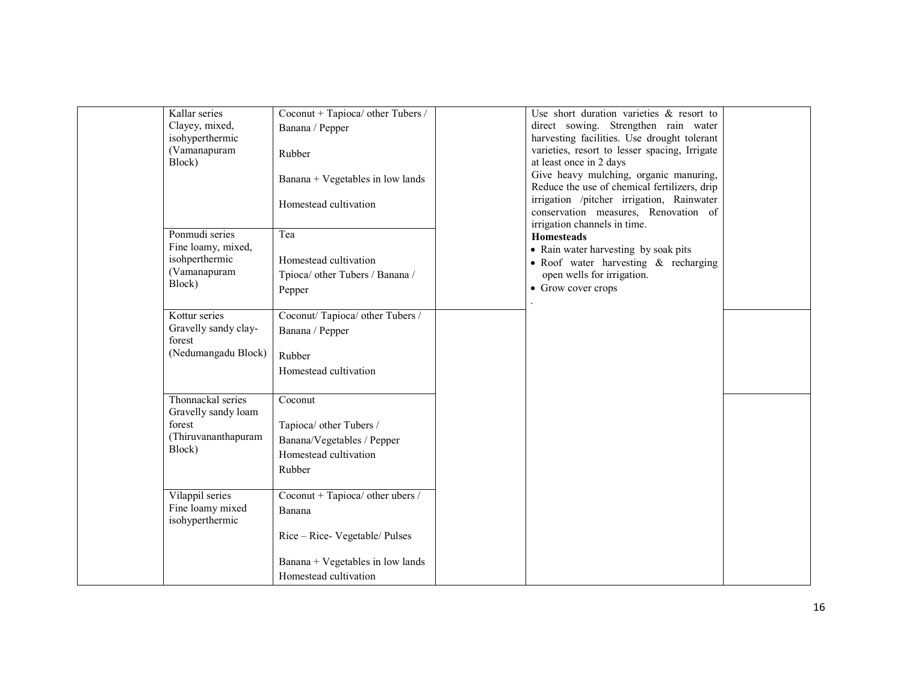| Kallar series<br>Clayey, mixed,<br>isohyperthermic<br>(Vamanapuram<br>Block)                      | Coconut + Tapioca/ other Tubers /<br>Banana / Pepper<br>Rubber<br>Banana + Vegetables in low lands<br>Homestead cultivation               |                                                                                                                                                                                       | Use short duration varieties $\&$ resort to<br>direct sowing. Strengthen rain water<br>harvesting facilities. Use drought tolerant<br>varieties, resort to lesser spacing, Irrigate<br>at least once in 2 days<br>Give heavy mulching, organic manuring,<br>Reduce the use of chemical fertilizers, drip<br>irrigation /pitcher irrigation, Rainwater<br>conservation measures, Renovation of |  |
|---------------------------------------------------------------------------------------------------|-------------------------------------------------------------------------------------------------------------------------------------------|---------------------------------------------------------------------------------------------------------------------------------------------------------------------------------------|-----------------------------------------------------------------------------------------------------------------------------------------------------------------------------------------------------------------------------------------------------------------------------------------------------------------------------------------------------------------------------------------------|--|
| Ponmudi series<br>Fine loamy, mixed,<br>isohperthermic<br>(Vamanapuram<br>Block)<br>Kottur series | Tea<br>Homestead cultivation<br>Tpioca/ other Tubers / Banana /<br>Pepper<br>Coconut/Tapioca/ other Tubers /                              | irrigation channels in time.<br><b>Homesteads</b><br>• Rain water harvesting by soak pits<br>• Roof water harvesting & recharging<br>open wells for irrigation.<br>• Grow cover crops |                                                                                                                                                                                                                                                                                                                                                                                               |  |
| Gravelly sandy clay-<br>forest<br>(Nedumangadu Block)                                             | Banana / Pepper<br>Rubber<br>Homestead cultivation                                                                                        |                                                                                                                                                                                       |                                                                                                                                                                                                                                                                                                                                                                                               |  |
| Thonnackal series<br>Gravelly sandy loam<br>forest<br>(Thiruvananthapuram<br>Block)               | Coconut<br>Tapioca/ other Tubers /<br>Banana/Vegetables / Pepper<br>Homestead cultivation<br>Rubber                                       |                                                                                                                                                                                       |                                                                                                                                                                                                                                                                                                                                                                                               |  |
| Vilappil series<br>Fine loamy mixed<br>isohyperthermic                                            | Coconut + Tapioca/ other ubers /<br>Banana<br>Rice – Rice- Vegetable/ Pulses<br>Banana + Vegetables in low lands<br>Homestead cultivation |                                                                                                                                                                                       |                                                                                                                                                                                                                                                                                                                                                                                               |  |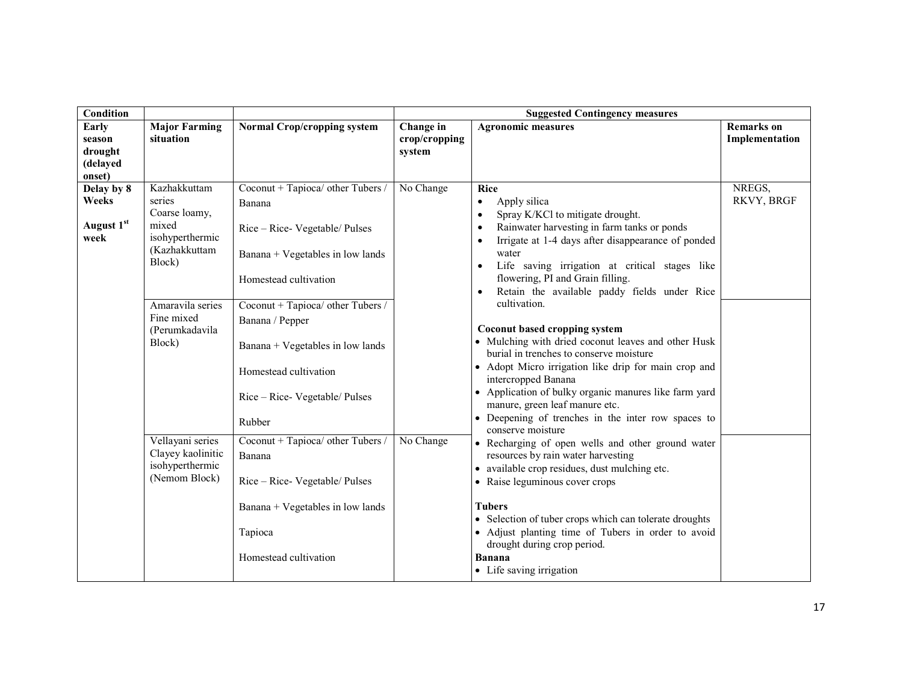| Condition                                        |                                                                                                                                                                                                                                           |                                                                                                                                                                                                                                                                                                                                                                                                                                                                      |                                      | <b>Suggested Contingency measures</b>                                                                                                                                                                                                                                                                                                                                                                                                                                                                                                                                                                                                                                                                                                                                                                                                                                                                                                                                                                                                                                                                                                                                                   |                                     |
|--------------------------------------------------|-------------------------------------------------------------------------------------------------------------------------------------------------------------------------------------------------------------------------------------------|----------------------------------------------------------------------------------------------------------------------------------------------------------------------------------------------------------------------------------------------------------------------------------------------------------------------------------------------------------------------------------------------------------------------------------------------------------------------|--------------------------------------|-----------------------------------------------------------------------------------------------------------------------------------------------------------------------------------------------------------------------------------------------------------------------------------------------------------------------------------------------------------------------------------------------------------------------------------------------------------------------------------------------------------------------------------------------------------------------------------------------------------------------------------------------------------------------------------------------------------------------------------------------------------------------------------------------------------------------------------------------------------------------------------------------------------------------------------------------------------------------------------------------------------------------------------------------------------------------------------------------------------------------------------------------------------------------------------------|-------------------------------------|
| Early<br>season<br>drought<br>(delayed<br>onset) | <b>Major Farming</b><br>situation                                                                                                                                                                                                         | <b>Normal Crop/cropping system</b>                                                                                                                                                                                                                                                                                                                                                                                                                                   | Change in<br>crop/cropping<br>system | <b>Agronomic measures</b>                                                                                                                                                                                                                                                                                                                                                                                                                                                                                                                                                                                                                                                                                                                                                                                                                                                                                                                                                                                                                                                                                                                                                               | <b>Remarks</b> on<br>Implementation |
| Delay by 8<br>Weeks<br>August 1st<br>week        | Kazhakkuttam<br>series<br>Coarse loamy,<br>mixed<br>isohyperthermic<br>(Kazhakkuttam<br>Block)<br>Amaravila series<br>Fine mixed<br>(Perumkadavila<br>Block)<br>Vellayani series<br>Clayey kaolinitic<br>isohyperthermic<br>(Nemom Block) | Coconut + Tapioca/ other Tubers /<br>Banana<br>Rice – Rice- Vegetable/ Pulses<br>Banana + Vegetables in low lands<br>Homestead cultivation<br>Coconut + Tapioca/ other Tubers /<br>Banana / Pepper<br>Banana + Vegetables in low lands<br>Homestead cultivation<br>Rice – Rice- Vegetable/ Pulses<br>Rubber<br>Coconut + Tapioca/ other Tubers /<br>Banana<br>Rice – Rice- Vegetable/ Pulses<br>Banana + Vegetables in low lands<br>Tapioca<br>Homestead cultivation | No Change<br>No Change               | <b>Rice</b><br>Apply silica<br>$\bullet$<br>Spray K/KCl to mitigate drought.<br>$\bullet$<br>Rainwater harvesting in farm tanks or ponds<br>Irrigate at 1-4 days after disappearance of ponded<br>$\bullet$<br>water<br>Life saving irrigation at critical stages like<br>$\bullet$<br>flowering, PI and Grain filling.<br>Retain the available paddy fields under Rice<br>$\bullet$<br>cultivation.<br>Coconut based cropping system<br>• Mulching with dried coconut leaves and other Husk<br>burial in trenches to conserve moisture<br>• Adopt Micro irrigation like drip for main crop and<br>intercropped Banana<br>• Application of bulky organic manures like farm yard<br>manure, green leaf manure etc.<br>• Deepening of trenches in the inter row spaces to<br>conserve moisture<br>• Recharging of open wells and other ground water<br>resources by rain water harvesting<br>• available crop residues, dust mulching etc.<br>• Raise leguminous cover crops<br><b>Tubers</b><br>• Selection of tuber crops which can tolerate droughts<br>• Adjust planting time of Tubers in order to avoid<br>drought during crop period.<br><b>Banana</b><br>• Life saving irrigation | NREGS,<br>RKVY, BRGF                |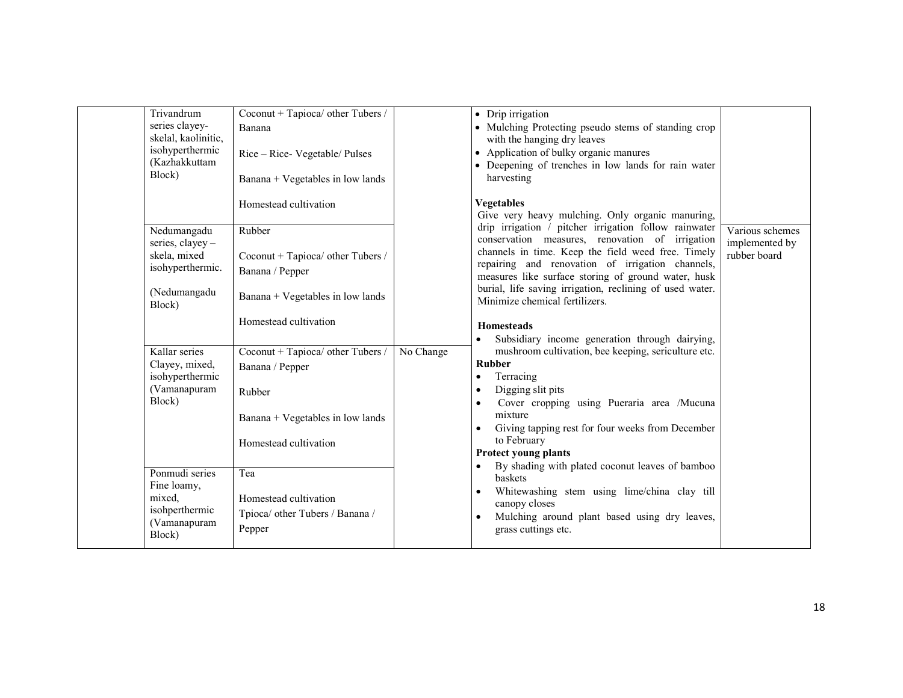| Trivandrum<br>series clayey-<br>skelal, kaolinitic,<br>isohyperthermic<br>(Kazhakkuttam<br>Block) | Coconut + Tapioca/ other Tubers /<br>Banana<br>Rice – Rice- Vegetable/ Pulses<br>Banana + Vegetables in low lands<br>Homestead cultivation | • Drip irrigation<br>• Mulching Protecting pseudo stems of standing crop<br>with the hanging dry leaves<br>• Application of bulky organic manures<br>• Deepening of trenches in low lands for rain water<br>harvesting<br><b>Vegetables</b><br>Give very heavy mulching. Only organic manuring,                                                                                                                                                             |                                                   |
|---------------------------------------------------------------------------------------------------|--------------------------------------------------------------------------------------------------------------------------------------------|-------------------------------------------------------------------------------------------------------------------------------------------------------------------------------------------------------------------------------------------------------------------------------------------------------------------------------------------------------------------------------------------------------------------------------------------------------------|---------------------------------------------------|
| Nedumangadu<br>series, clayey -<br>skela, mixed<br>isohyperthermic.<br>(Nedumangadu<br>Block)     | Rubber<br>Coconut + Tapioca/ other Tubers /<br>Banana / Pepper<br>Banana + Vegetables in low lands<br>Homestead cultivation                | drip irrigation / pitcher irrigation follow rainwater<br>conservation measures, renovation of irrigation<br>channels in time. Keep the field weed free. Timely<br>repairing and renovation of irrigation channels,<br>measures like surface storing of ground water, husk<br>burial, life saving irrigation, reclining of used water.<br>Minimize chemical fertilizers.<br><b>Homesteads</b><br>Subsidiary income generation through dairying,<br>$\bullet$ | Various schemes<br>implemented by<br>rubber board |
| Kallar series<br>Clayey, mixed,<br>isohyperthermic<br>(Vamanapuram<br>Block)                      | Coconut + Tapioca/ other Tubers /<br>Banana / Pepper<br>Rubber<br>Banana + Vegetables in low lands<br>Homestead cultivation                | mushroom cultivation, bee keeping, sericulture etc.<br>No Change<br><b>Rubber</b><br>Terracing<br>$\bullet$<br>Digging slit pits<br>$\bullet$<br>Cover cropping using Pueraria area /Mucuna<br>$\bullet$<br>mixture<br>Giving tapping rest for four weeks from December<br>to February<br><b>Protect young plants</b><br>By shading with plated coconut leaves of bamboo                                                                                    |                                                   |
| Ponmudi series<br>Fine loamy,<br>mixed,<br>isohperthermic<br>(Vamanapuram<br>Block)               | Tea<br>Homestead cultivation<br>Tpioca/ other Tubers / Banana /<br>Pepper                                                                  | baskets<br>Whitewashing stem using lime/china clay till<br>$\bullet$<br>canopy closes<br>Mulching around plant based using dry leaves,<br>$\bullet$<br>grass cuttings etc.                                                                                                                                                                                                                                                                                  |                                                   |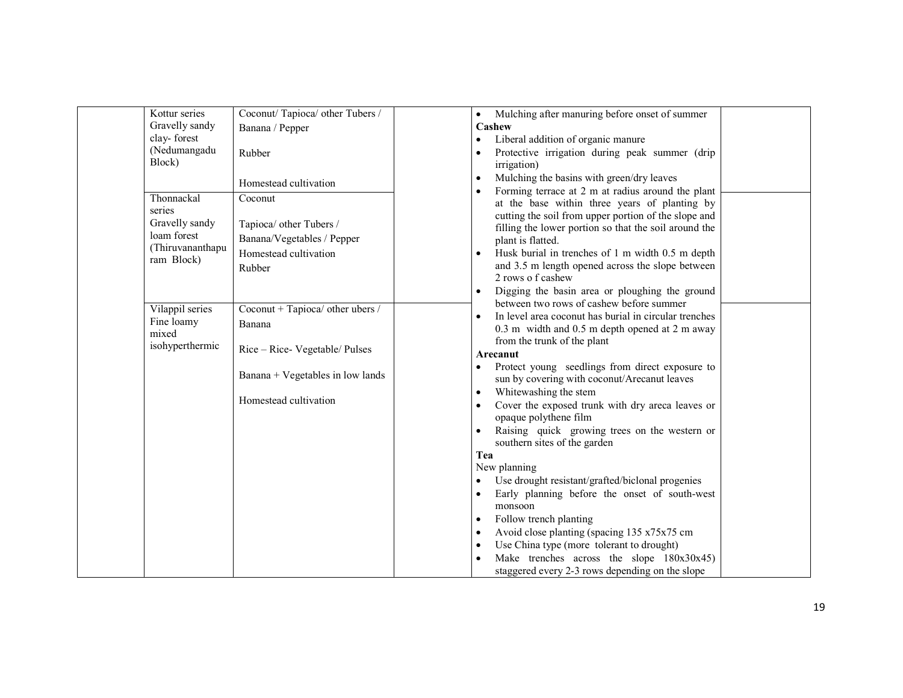| Kottur series    | Coconut/Tapioca/ other Tubers /                                                                       | Mulching after manuring before onset of summer<br>$\bullet$                                             |  |
|------------------|-------------------------------------------------------------------------------------------------------|---------------------------------------------------------------------------------------------------------|--|
| Gravelly sandy   | Banana / Pepper                                                                                       | Cashew                                                                                                  |  |
| clay-forest      |                                                                                                       | Liberal addition of organic manure<br>$\bullet$                                                         |  |
| (Nedumangadu     | Rubber                                                                                                | Protective irrigation during peak summer (drip<br>$\bullet$                                             |  |
| Block)           |                                                                                                       | irrigation)                                                                                             |  |
|                  | Homestead cultivation                                                                                 | Mulching the basins with green/dry leaves<br>$\bullet$                                                  |  |
| Thonnackal       |                                                                                                       | Forming terrace at 2 m at radius around the plant<br>$\bullet$                                          |  |
| series           | Coconut                                                                                               | at the base within three years of planting by                                                           |  |
| Gravelly sandy   | Tapioca/ other Tubers /                                                                               | cutting the soil from upper portion of the slope and                                                    |  |
| loam forest      |                                                                                                       | filling the lower portion so that the soil around the                                                   |  |
| (Thiruvananthapu | Banana/Vegetables / Pepper                                                                            | plant is flatted.                                                                                       |  |
| ram Block)       | Homestead cultivation                                                                                 | Husk burial in trenches of 1 m width 0.5 m depth<br>$\bullet$                                           |  |
|                  | Rubber                                                                                                | and 3.5 m length opened across the slope between                                                        |  |
|                  |                                                                                                       | 2 rows of cashew                                                                                        |  |
|                  |                                                                                                       | Digging the basin area or ploughing the ground<br>$\bullet$<br>between two rows of cashew before summer |  |
| Vilappil series  | Coconut + Tapioca/ other ubers /                                                                      | In level area coconut has burial in circular trenches                                                   |  |
| Fine loamy       | Banana<br>Rice - Rice- Vegetable/ Pulses<br>Banana + Vegetables in low lands<br>Homestead cultivation | 0.3 m width and 0.5 m depth opened at 2 m away                                                          |  |
| mixed            |                                                                                                       | from the trunk of the plant                                                                             |  |
| isohyperthermic  |                                                                                                       | Arecanut                                                                                                |  |
|                  |                                                                                                       | Protect young seedlings from direct exposure to<br>$\bullet$                                            |  |
|                  |                                                                                                       | sun by covering with coconut/Arecanut leaves                                                            |  |
|                  |                                                                                                       | Whitewashing the stem<br>$\bullet$                                                                      |  |
|                  |                                                                                                       | Cover the exposed trunk with dry areca leaves or<br>$\bullet$                                           |  |
|                  |                                                                                                       | opaque polythene film                                                                                   |  |
|                  |                                                                                                       | Raising quick growing trees on the western or                                                           |  |
|                  |                                                                                                       | southern sites of the garden                                                                            |  |
|                  |                                                                                                       | Tea                                                                                                     |  |
|                  |                                                                                                       | New planning                                                                                            |  |
|                  |                                                                                                       | Use drought resistant/grafted/biclonal progenies<br>$\bullet$                                           |  |
|                  |                                                                                                       | Early planning before the onset of south-west<br>$\bullet$                                              |  |
|                  |                                                                                                       | monsoon                                                                                                 |  |
|                  |                                                                                                       | Follow trench planting<br>$\bullet$                                                                     |  |
|                  |                                                                                                       | Avoid close planting (spacing 135 x75x75 cm<br>$\bullet$                                                |  |
|                  |                                                                                                       | Use China type (more tolerant to drought)<br>$\bullet$                                                  |  |
|                  |                                                                                                       | Make trenches across the slope 180x30x45)                                                               |  |
|                  |                                                                                                       | staggered every 2-3 rows depending on the slope                                                         |  |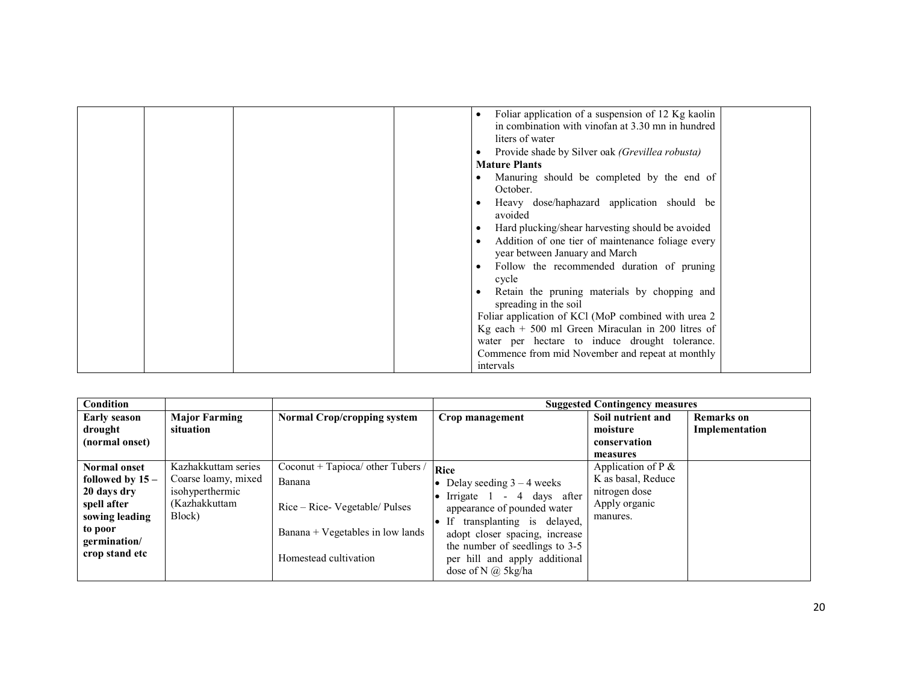|  | Foliar application of a suspension of 12 Kg kaolin<br>$\epsilon$<br>in combination with vinofan at 3.30 mn in hundred<br>liters of water<br>Provide shade by Silver oak <i>(Grevillea robusta)</i><br><b>Mature Plants</b><br>Manuring should be completed by the end of<br>October.<br>Heavy dose/haphazard application should be<br>avoided<br>Hard plucking/shear harvesting should be avoided<br>٠<br>Addition of one tier of maintenance foliage every<br>٠<br>year between January and March<br>Follow the recommended duration of pruning<br>٠<br>cycle<br>Retain the pruning materials by chopping and<br>spreading in the soil<br>Foliar application of KCl (MoP combined with urea 2<br>Kg each $+500$ ml Green Miraculan in 200 litres of<br>water per hectare to induce drought tolerance.<br>Commence from mid November and repeat at monthly |
|--|------------------------------------------------------------------------------------------------------------------------------------------------------------------------------------------------------------------------------------------------------------------------------------------------------------------------------------------------------------------------------------------------------------------------------------------------------------------------------------------------------------------------------------------------------------------------------------------------------------------------------------------------------------------------------------------------------------------------------------------------------------------------------------------------------------------------------------------------------------|
|  | intervals                                                                                                                                                                                                                                                                                                                                                                                                                                                                                                                                                                                                                                                                                                                                                                                                                                                  |

| <b>Condition</b>                                                                                                               |                                                                                          |                                                                                                                                            |                                                                                                                                                                                                                                                                   | <b>Suggested Contingency measures</b>                                                     |                                     |
|--------------------------------------------------------------------------------------------------------------------------------|------------------------------------------------------------------------------------------|--------------------------------------------------------------------------------------------------------------------------------------------|-------------------------------------------------------------------------------------------------------------------------------------------------------------------------------------------------------------------------------------------------------------------|-------------------------------------------------------------------------------------------|-------------------------------------|
| <b>Early season</b><br>drought<br>(normal onset)                                                                               | <b>Major Farming</b><br>situation                                                        | <b>Normal Crop/cropping system</b>                                                                                                         | Crop management                                                                                                                                                                                                                                                   | Soil nutrient and<br>moisture<br>conservation<br>measures                                 | <b>Remarks</b> on<br>Implementation |
| Normal onset<br>followed by $15-$<br>20 days dry<br>spell after<br>sowing leading<br>to poor<br>germination/<br>crop stand etc | Kazhakkuttam series<br>Coarse loamy, mixed<br>isohyperthermic<br>(Kazhakkuttam<br>Block) | Coconut + Tapioca/ other Tubers /<br>Banana<br>Rice – Rice- Vegetable/ Pulses<br>Banana + Vegetables in low lands<br>Homestead cultivation | <b>Rice</b><br>Delay seeding $3 - 4$ weeks<br>Irrigate 1 - 4 days after<br>appearance of pounded water<br>If transplanting is delayed,<br>adopt closer spacing, increase<br>the number of seedlings to 3-5<br>per hill and apply additional<br>dose of N @ 5kg/ha | Application of $P \&$<br>K as basal, Reduce<br>nitrogen dose<br>Apply organic<br>manures. |                                     |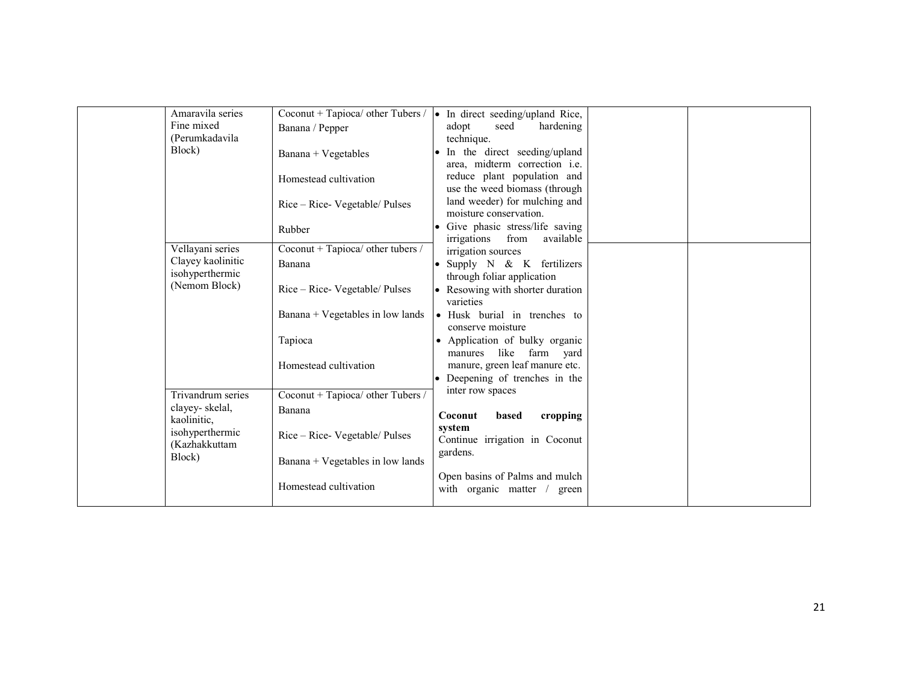| Amaravila series<br>Fine mixed<br>(Perumkadavila | Coconut + Tapioca/ other Tubers /<br>Banana / Pepper | • In direct seeding/upland Rice,<br>adopt<br>seed<br>hardening<br>technique. |  |
|--------------------------------------------------|------------------------------------------------------|------------------------------------------------------------------------------|--|
| Block)                                           | Banana + Vegetables                                  | In the direct seeding/upland<br>area, midterm correction <i>i.e.</i>         |  |
|                                                  | Homestead cultivation                                | reduce plant population and<br>use the weed biomass (through                 |  |
|                                                  | Rice – Rice- Vegetable/ Pulses                       | land weeder) for mulching and<br>moisture conservation.                      |  |
|                                                  | Rubber                                               | • Give phasic stress/life saving<br>irrigations<br>from<br>available         |  |
| Vellayani series                                 | Coconut + Tapioca/ other tubers /                    | irrigation sources                                                           |  |
| Clayey kaolinitic<br>isohyperthermic             | Banana                                               | • Supply N & K fertilizers<br>through foliar application                     |  |
| (Nemom Block)                                    | Rice – Rice- Vegetable/ Pulses                       | • Resowing with shorter duration<br>varieties                                |  |
|                                                  | Banana + Vegetables in low lands                     | • Husk burial in trenches to<br>conserve moisture                            |  |
|                                                  | Tapioca                                              | Application of bulky organic<br>$\bullet$<br>like<br>farm<br>manures<br>yard |  |
|                                                  | Homestead cultivation                                | manure, green leaf manure etc.<br>• Deepening of trenches in the             |  |
| Trivandrum series                                | Coconut + Tapioca/ other Tubers /                    | inter row spaces                                                             |  |
| clayey-skelal,                                   |                                                      |                                                                              |  |
| kaolinitic,                                      | Banana                                               | Coconut<br>cropping<br>based                                                 |  |
| isohyperthermic<br>(Kazhakkuttam                 | Rice – Rice- Vegetable/ Pulses                       | system<br>Continue irrigation in Coconut                                     |  |
| Block)                                           | Banana + Vegetables in low lands                     | gardens.                                                                     |  |
|                                                  | Homestead cultivation                                | Open basins of Palms and mulch<br>with organic matter<br>green               |  |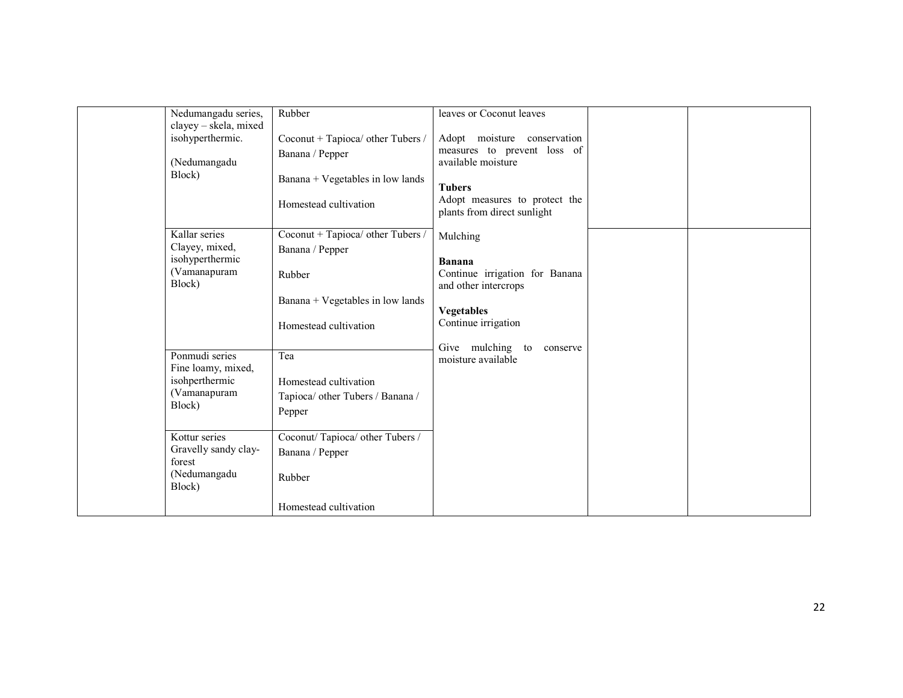| Nedumangadu series,<br>clayey - skela, mixed | Rubber                                               | leaves or Coconut leaves                                                         |  |
|----------------------------------------------|------------------------------------------------------|----------------------------------------------------------------------------------|--|
| isohyperthermic.<br>(Nedumangadu             | Coconut + Tapioca/ other Tubers /<br>Banana / Pepper | Adopt moisture conservation<br>measures to prevent loss of<br>available moisture |  |
| Block)                                       | Banana + Vegetables in low lands                     | <b>Tubers</b><br>Adopt measures to protect the                                   |  |
|                                              | Homestead cultivation                                | plants from direct sunlight                                                      |  |
| Kallar series<br>Clayey, mixed,              | Coconut + Tapioca/ other Tubers /<br>Banana / Pepper | Mulching                                                                         |  |
| isohyperthermic<br>(Vamanapuram<br>Block)    | Rubber                                               | <b>Banana</b><br>Continue irrigation for Banana<br>and other intercrops          |  |
|                                              | Banana + Vegetables in low lands                     | <b>Vegetables</b>                                                                |  |
|                                              | Homestead cultivation                                | Continue irrigation                                                              |  |
| Ponmudi series<br>Fine loamy, mixed,         | Tea                                                  | Give mulching to<br>conserve<br>moisture available                               |  |
| isohperthermic                               | Homestead cultivation                                |                                                                                  |  |
| (Vamanapuram<br>Block)                       | Tapioca/ other Tubers / Banana /<br>Pepper           |                                                                                  |  |
| Kottur series                                | Coconut/Tapioca/ other Tubers /                      |                                                                                  |  |
| Gravelly sandy clay-<br>forest               | Banana / Pepper                                      |                                                                                  |  |
| (Nedumangadu<br>Block)                       | Rubber                                               |                                                                                  |  |
|                                              | Homestead cultivation                                |                                                                                  |  |
|                                              |                                                      |                                                                                  |  |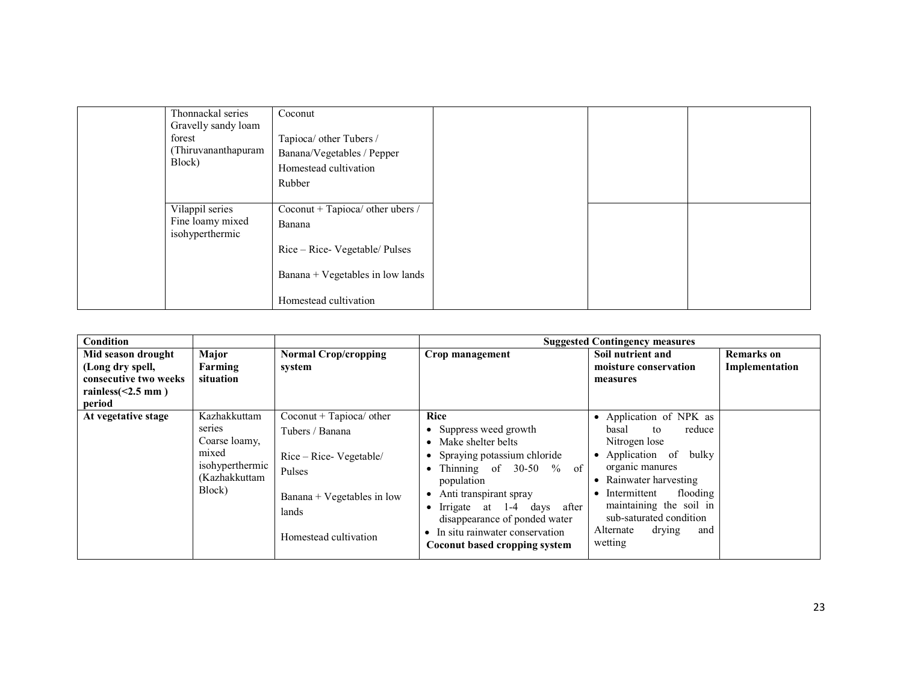| Thonnackal series<br>Gravelly sandy loam<br>forest<br>(Thiruvananthapuram<br>Block) | Coconut<br>Tapioca/ other Tubers /<br>Banana/Vegetables / Pepper<br>Homestead cultivation |  |  |
|-------------------------------------------------------------------------------------|-------------------------------------------------------------------------------------------|--|--|
| Vilappil series<br>Fine loamy mixed<br>isohyperthermic                              | Rubber<br>Coconut + Tapioca/ other ubers /<br>Banana<br>Rice – Rice- Vegetable/ Pulses    |  |  |
|                                                                                     | Banana + Vegetables in low lands<br>Homestead cultivation                                 |  |  |

| <b>Condition</b>      |                                                                                                |                                                                                                                                                     |                                                                                                                                                                                                                                                                                                                                       | <b>Suggested Contingency measures</b>                                                                                                                                                                                                                                |                   |
|-----------------------|------------------------------------------------------------------------------------------------|-----------------------------------------------------------------------------------------------------------------------------------------------------|---------------------------------------------------------------------------------------------------------------------------------------------------------------------------------------------------------------------------------------------------------------------------------------------------------------------------------------|----------------------------------------------------------------------------------------------------------------------------------------------------------------------------------------------------------------------------------------------------------------------|-------------------|
| Mid season drought    | Major                                                                                          | <b>Normal Crop/cropping</b>                                                                                                                         | Crop management                                                                                                                                                                                                                                                                                                                       | Soil nutrient and                                                                                                                                                                                                                                                    | <b>Remarks</b> on |
| (Long dry spell,      | Farming                                                                                        | system                                                                                                                                              |                                                                                                                                                                                                                                                                                                                                       | moisture conservation                                                                                                                                                                                                                                                | Implementation    |
| consecutive two weeks | situation                                                                                      |                                                                                                                                                     |                                                                                                                                                                                                                                                                                                                                       | measures                                                                                                                                                                                                                                                             |                   |
| rainless $(2.5$ mm)   |                                                                                                |                                                                                                                                                     |                                                                                                                                                                                                                                                                                                                                       |                                                                                                                                                                                                                                                                      |                   |
| period                |                                                                                                |                                                                                                                                                     |                                                                                                                                                                                                                                                                                                                                       |                                                                                                                                                                                                                                                                      |                   |
| At vegetative stage   | Kazhakkuttam<br>series<br>Coarse loamy,<br>mixed<br>isohyperthermic<br>(Kazhakkuttam<br>Block) | Coconut + Tapioca/ other<br>Tubers / Banana<br>$Rice - Rice - Vegetable/$<br>Pulses<br>Banana + Vegetables in low<br>lands<br>Homestead cultivation | <b>Rice</b><br>Suppress weed growth<br>Make shelter belts<br>Spraying potassium chloride<br>$\bullet$<br>Thinning of $30-50$ % of<br>population<br>Anti transpirant spray<br>$\bullet$<br>Irrigate at 1-4 days after<br>$\bullet$<br>disappearance of ponded water<br>In situ rainwater conservation<br>Coconut based cropping system | • Application of NPK as<br>reduce<br>basal<br>to<br>Nitrogen lose<br>• Application of<br>bulky<br>organic manures<br>Rainwater harvesting<br>Intermittent<br>flooding<br>maintaining the soil in<br>sub-saturated condition<br>Alternate<br>drying<br>and<br>wetting |                   |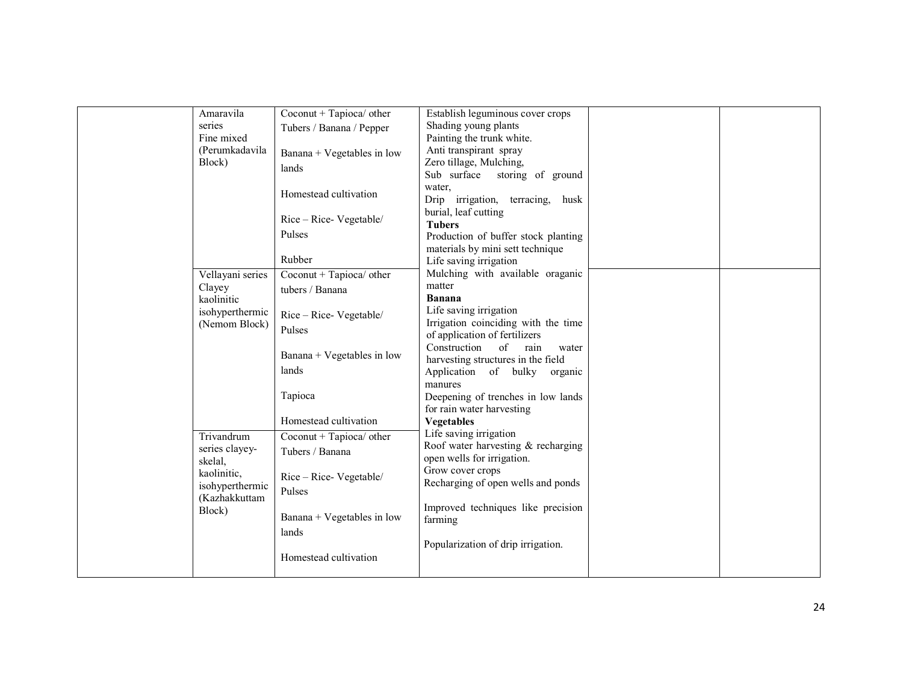| Amaravila        | Coconut + Tapioca/ other   | Establish leguminous cover crops    |  |
|------------------|----------------------------|-------------------------------------|--|
| series           | Tubers / Banana / Pepper   | Shading young plants                |  |
| Fine mixed       |                            | Painting the trunk white.           |  |
| (Perumkadavila   | Banana + Vegetables in low | Anti transpirant spray              |  |
| Block)           | lands                      | Zero tillage, Mulching,             |  |
|                  |                            | Sub surface<br>storing of ground    |  |
|                  | Homestead cultivation      | water.                              |  |
|                  |                            | Drip irrigation, terracing, husk    |  |
|                  |                            | burial, leaf cutting                |  |
|                  | Rice – Rice- Vegetable/    | <b>Tubers</b>                       |  |
|                  | Pulses                     | Production of buffer stock planting |  |
|                  |                            | materials by mini sett technique    |  |
|                  | Rubber                     | Life saving irrigation              |  |
| Vellayani series | Coconut + Tapioca/ other   | Mulching with available oraganic    |  |
| Clayey           | tubers / Banana            | matter                              |  |
| kaolinitic       |                            | <b>Banana</b>                       |  |
| isohyperthermic  |                            | Life saving irrigation              |  |
| (Nemom Block)    | Rice - Rice- Vegetable/    | Irrigation coinciding with the time |  |
|                  | Pulses                     | of application of fertilizers       |  |
|                  |                            | Construction<br>of<br>rain<br>water |  |
|                  | Banana + Vegetables in low | harvesting structures in the field  |  |
|                  | lands                      | Application of bulky<br>organic     |  |
|                  |                            | manures                             |  |
|                  | Tapioca                    | Deepening of trenches in low lands  |  |
|                  |                            | for rain water harvesting           |  |
|                  | Homestead cultivation      | <b>Vegetables</b>                   |  |
|                  |                            | Life saving irrigation              |  |
| Trivandrum       | Coconut + Tapioca/ other   | Roof water harvesting & recharging  |  |
| series clayey-   | Tubers / Banana            | open wells for irrigation.          |  |
| skelal,          |                            | Grow cover crops                    |  |
| kaolinitic,      | $Rice - Rice - Vegetable/$ | Recharging of open wells and ponds  |  |
| isohyperthermic  | Pulses                     |                                     |  |
| (Kazhakkuttam    |                            |                                     |  |
| Block)           | Banana + Vegetables in low | Improved techniques like precision  |  |
|                  |                            | farming                             |  |
|                  | lands                      |                                     |  |
|                  |                            | Popularization of drip irrigation.  |  |
|                  | Homestead cultivation      |                                     |  |
|                  |                            |                                     |  |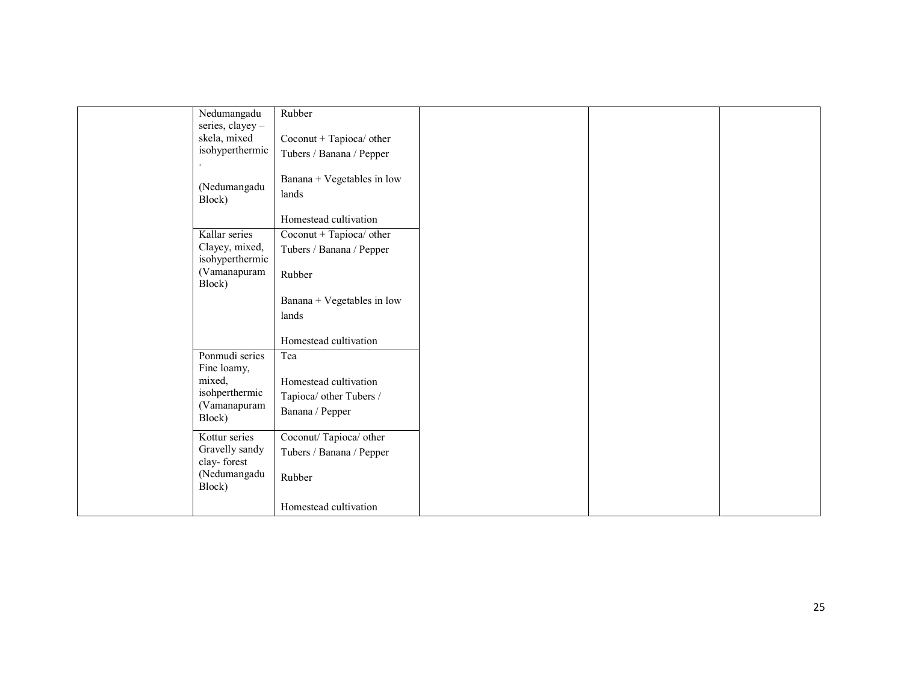| Nedumangadu           | Rubber                     |  |  |
|-----------------------|----------------------------|--|--|
| series, clayey-       |                            |  |  |
| skela, mixed          | Coconut + Tapioca/ other   |  |  |
| isohyperthermic       | Tubers / Banana / Pepper   |  |  |
|                       |                            |  |  |
| (Nedumangadu          | Banana + Vegetables in low |  |  |
| Block)                | lands                      |  |  |
|                       | Homestead cultivation      |  |  |
| Kallar series         | Coconut + Tapioca/ other   |  |  |
| Clayey, mixed,        | Tubers / Banana / Pepper   |  |  |
| isohyperthermic       |                            |  |  |
| (Vamanapuram          | Rubber                     |  |  |
| Block)                |                            |  |  |
|                       | Banana + Vegetables in low |  |  |
|                       | lands                      |  |  |
|                       |                            |  |  |
|                       | Homestead cultivation      |  |  |
| Ponmudi series        | Tea                        |  |  |
| Fine loamy,<br>mixed, |                            |  |  |
| isohperthermic        | Homestead cultivation      |  |  |
| (Vamanapuram          | Tapioca/ other Tubers /    |  |  |
| Block)                | Banana / Pepper            |  |  |
| Kottur series         | Coconut/Tapioca/other      |  |  |
| Gravelly sandy        | Tubers / Banana / Pepper   |  |  |
| clay-forest           |                            |  |  |
| (Nedumangadu          | Rubber                     |  |  |
| Block)                |                            |  |  |
|                       | Homestead cultivation      |  |  |
|                       |                            |  |  |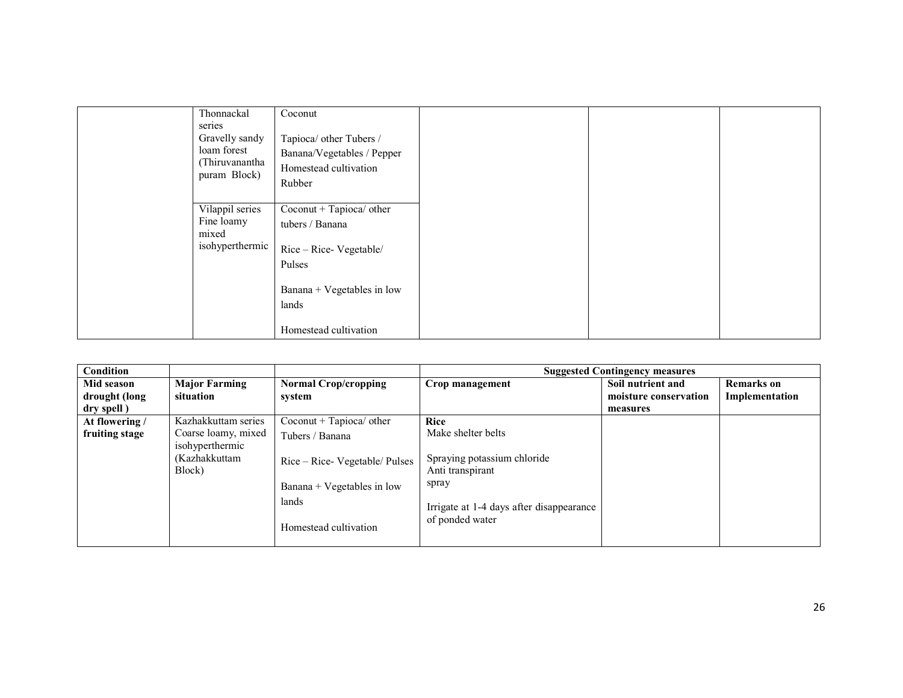| Thonnackal                                                      | Coconut                                                                                                        |  |  |
|-----------------------------------------------------------------|----------------------------------------------------------------------------------------------------------------|--|--|
| series                                                          |                                                                                                                |  |  |
| Gravelly sandy<br>loam forest<br>(Thiruvanantha<br>puram Block) | Tapioca/ other Tubers /<br>Banana/Vegetables / Pepper<br>Homestead cultivation<br>Rubber                       |  |  |
| Vilappil series<br>Fine loamy<br>mixed<br>isohyperthermic       | Coconut + Tapioca/ other<br>tubers / Banana<br>Rice – Rice- Vegetable/<br>Pulses<br>Banana + Vegetables in low |  |  |
|                                                                 | lands                                                                                                          |  |  |
|                                                                 | Homestead cultivation                                                                                          |  |  |

| <b>Condition</b> |                                        |                                |                                                 | <b>Suggested Contingency measures</b> |                   |
|------------------|----------------------------------------|--------------------------------|-------------------------------------------------|---------------------------------------|-------------------|
| Mid season       | <b>Major Farming</b>                   | <b>Normal Crop/cropping</b>    | Crop management                                 | Soil nutrient and                     | <b>Remarks</b> on |
| drought (long    | situation                              | system                         |                                                 | moisture conservation                 | Implementation    |
| dry spell)       |                                        |                                |                                                 | measures                              |                   |
| At flowering /   | Kazhakkuttam series                    | $Cocount + Tapioca/other$      | Rice                                            |                                       |                   |
| fruiting stage   | Coarse loamy, mixed<br>isohyperthermic | Tubers / Banana                | Make shelter belts                              |                                       |                   |
|                  | (Kazhakkuttam<br>Block)                | Rice – Rice- Vegetable/ Pulses | Spraying potassium chloride<br>Anti transpirant |                                       |                   |
|                  |                                        | Banana + Vegetables in low     | spray                                           |                                       |                   |
|                  |                                        | lands                          | Irrigate at 1-4 days after disappearance        |                                       |                   |
|                  | Homestead cultivation                  | of ponded water                |                                                 |                                       |                   |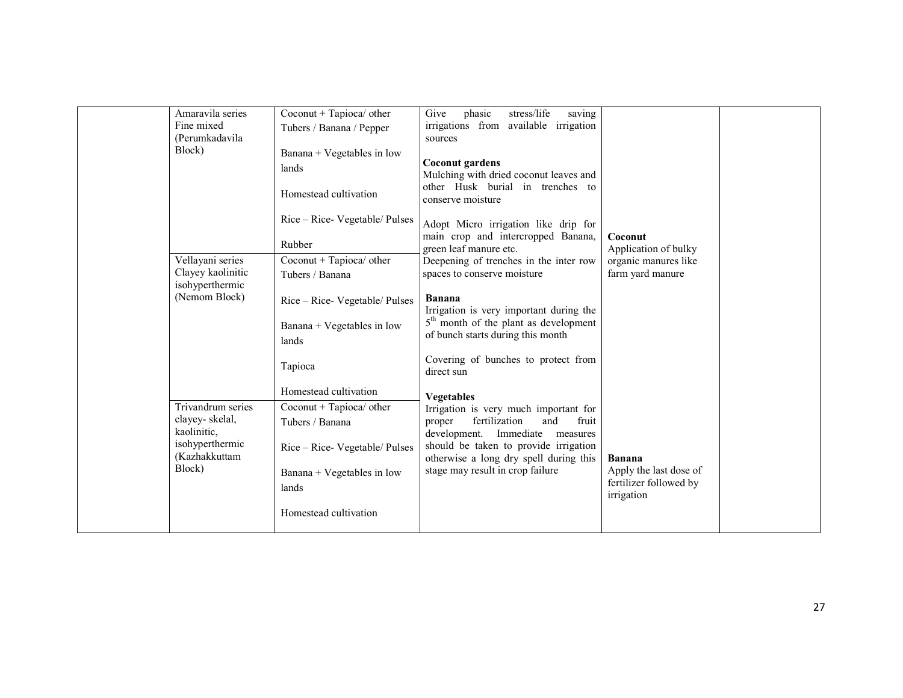| Amaravila series<br>Fine mixed<br>(Perumkadavila<br>Block)                                       | Coconut + Tapioca/ other<br>Tubers / Banana / Pepper<br>Banana + Vegetables in low<br>lands<br>Homestead cultivation                                     | phasic<br>stress/life<br>saving<br>Give<br>irrigations from available irrigation<br>sources<br>Coconut gardens<br>Mulching with dried coconut leaves and<br>other Husk burial in trenches to<br>conserve moisture                                                                                                       |                                                                                 |  |
|--------------------------------------------------------------------------------------------------|----------------------------------------------------------------------------------------------------------------------------------------------------------|-------------------------------------------------------------------------------------------------------------------------------------------------------------------------------------------------------------------------------------------------------------------------------------------------------------------------|---------------------------------------------------------------------------------|--|
| Vellayani series<br>Clayey kaolinitic                                                            | Rice – Rice- Vegetable/ Pulses<br>Rubber<br>Coconut + Tapioca/ other<br>Tubers / Banana                                                                  | Adopt Micro irrigation like drip for<br>main crop and intercropped Banana,<br>green leaf manure etc.<br>Deepening of trenches in the inter row<br>spaces to conserve moisture                                                                                                                                           | Coconut<br>Application of bulky<br>organic manures like<br>farm yard manure     |  |
| isohyperthermic<br>(Nemom Block)                                                                 | Rice - Rice- Vegetable/ Pulses<br>Banana + Vegetables in low<br>lands                                                                                    | <b>Banana</b><br>Irrigation is very important during the<br>5 <sup>th</sup> month of the plant as development<br>of bunch starts during this month                                                                                                                                                                      |                                                                                 |  |
| Trivandrum series<br>clayey-skelal,<br>kaolinitic,<br>isohyperthermic<br>(Kazhakkuttam<br>Block) | Tapioca<br>Homestead cultivation<br>Coconut + Tapioca/ other<br>Tubers / Banana<br>Rice – Rice- Vegetable/ Pulses<br>Banana + Vegetables in low<br>lands | Covering of bunches to protect from<br>direct sun<br><b>Vegetables</b><br>Irrigation is very much important for<br>fertilization<br>fruit<br>and<br>proper<br>development. Immediate<br>measures<br>should be taken to provide irrigation<br>otherwise a long dry spell during this<br>stage may result in crop failure | <b>Banana</b><br>Apply the last dose of<br>fertilizer followed by<br>irrigation |  |
|                                                                                                  | Homestead cultivation                                                                                                                                    |                                                                                                                                                                                                                                                                                                                         |                                                                                 |  |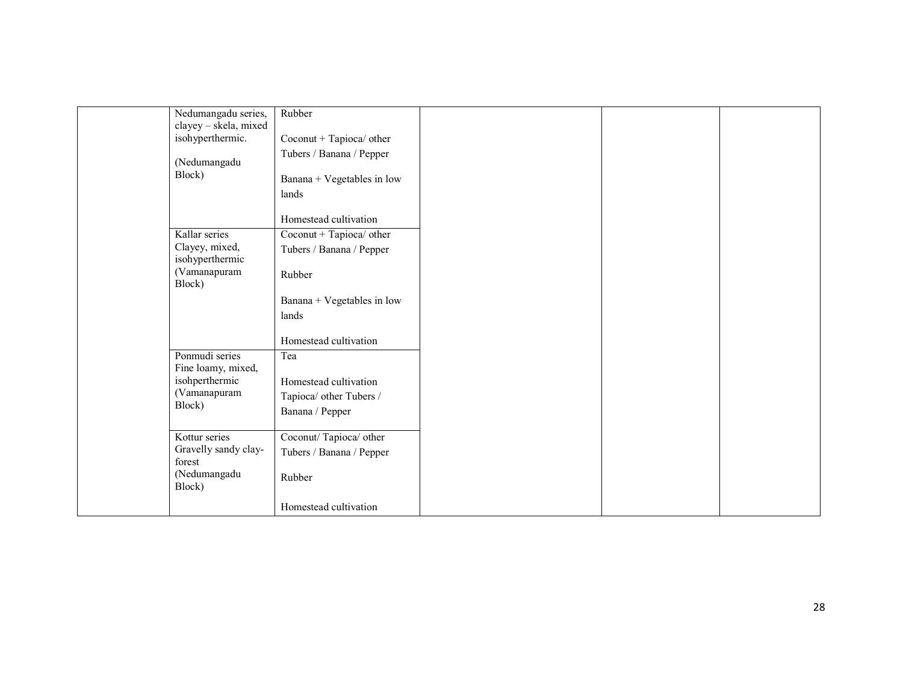|                        | Homestead cultivation                                                                                                                                                                                                              |                                                                                                                                                                                                                                                                 |  |
|------------------------|------------------------------------------------------------------------------------------------------------------------------------------------------------------------------------------------------------------------------------|-----------------------------------------------------------------------------------------------------------------------------------------------------------------------------------------------------------------------------------------------------------------|--|
| Kallar series          | Coconut + Tapioca/ other                                                                                                                                                                                                           |                                                                                                                                                                                                                                                                 |  |
|                        | Tubers / Banana / Pepper                                                                                                                                                                                                           |                                                                                                                                                                                                                                                                 |  |
| (Vamanapuram<br>Block) | Rubber                                                                                                                                                                                                                             |                                                                                                                                                                                                                                                                 |  |
|                        |                                                                                                                                                                                                                                    |                                                                                                                                                                                                                                                                 |  |
|                        | lands                                                                                                                                                                                                                              |                                                                                                                                                                                                                                                                 |  |
|                        | Homestead cultivation                                                                                                                                                                                                              |                                                                                                                                                                                                                                                                 |  |
|                        | Tea                                                                                                                                                                                                                                |                                                                                                                                                                                                                                                                 |  |
|                        |                                                                                                                                                                                                                                    |                                                                                                                                                                                                                                                                 |  |
| (Vamanapuram           |                                                                                                                                                                                                                                    |                                                                                                                                                                                                                                                                 |  |
| Block)                 |                                                                                                                                                                                                                                    |                                                                                                                                                                                                                                                                 |  |
|                        |                                                                                                                                                                                                                                    |                                                                                                                                                                                                                                                                 |  |
|                        |                                                                                                                                                                                                                                    |                                                                                                                                                                                                                                                                 |  |
| forest                 |                                                                                                                                                                                                                                    |                                                                                                                                                                                                                                                                 |  |
| (Nedumangadu<br>Block) | Rubber                                                                                                                                                                                                                             |                                                                                                                                                                                                                                                                 |  |
|                        | Homestead cultivation                                                                                                                                                                                                              |                                                                                                                                                                                                                                                                 |  |
|                        | Nedumangadu series,<br>clayey - skela, mixed<br>isohyperthermic.<br>(Nedumangadu<br>Block)<br>Clayey, mixed,<br>isohyperthermic<br>Ponmudi series<br>Fine loamy, mixed,<br>isohperthermic<br>Kottur series<br>Gravelly sandy clay- | Rubber<br>Coconut + Tapioca/ other<br>Tubers / Banana / Pepper<br>Banana + Vegetables in low<br>lands<br>Banana + Vegetables in low<br>Homestead cultivation<br>Tapioca/ other Tubers /<br>Banana / Pepper<br>Coconut/Tapioca/other<br>Tubers / Banana / Pepper |  |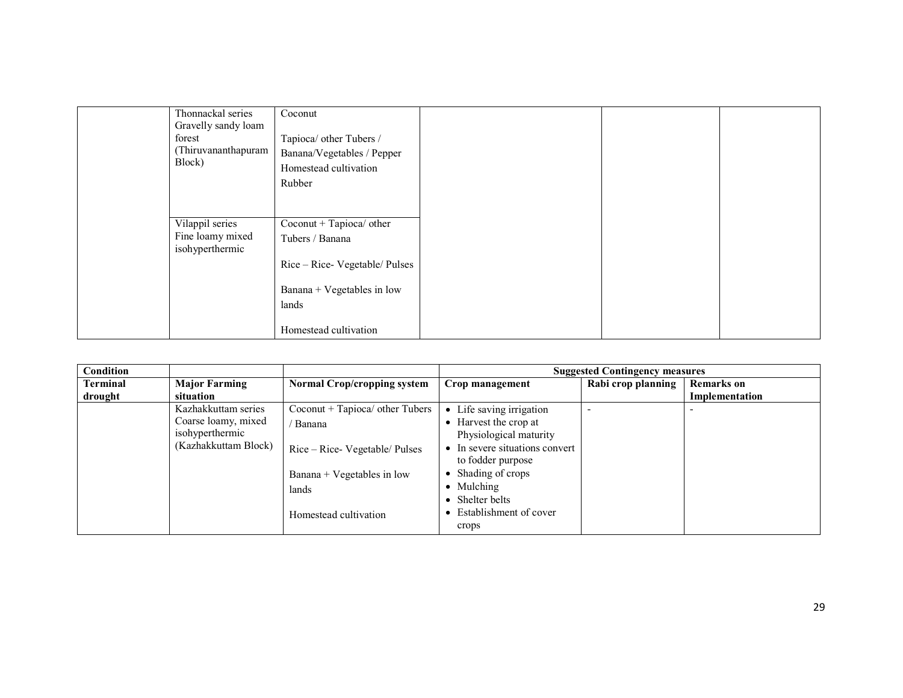| Thonnackal series<br>Gravelly sandy loam<br>forest<br>(Thiruvananthapuram<br>Block) | Coconut<br>Tapioca/ other Tubers /<br>Banana/Vegetables / Pepper<br>Homestead cultivation<br>Rubber                                            |  |  |
|-------------------------------------------------------------------------------------|------------------------------------------------------------------------------------------------------------------------------------------------|--|--|
| Vilappil series<br>Fine loamy mixed<br>isohyperthermic                              | $Coconut + Tapioca/other$<br>Tubers / Banana<br>Rice – Rice- Vegetable/ Pulses<br>Banana + Vegetables in low<br>lands<br>Homestead cultivation |  |  |

| Condition       |                      |                                    |                                                   | <b>Suggested Contingency measures</b> |                   |
|-----------------|----------------------|------------------------------------|---------------------------------------------------|---------------------------------------|-------------------|
| <b>Terminal</b> | <b>Major Farming</b> | <b>Normal Crop/cropping system</b> | Crop management                                   | Rabi crop planning                    | <b>Remarks</b> on |
| drought         | situation            |                                    |                                                   |                                       | Implementation    |
|                 | Kazhakkuttam series  | Coconut + Tapioca/ other Tubers    | • Life saving irrigation                          |                                       |                   |
|                 | Coarse loamy, mixed  | ' Banana                           | Harvest the crop at                               |                                       |                   |
|                 | isohyperthermic      |                                    | Physiological maturity                            |                                       |                   |
|                 | (Kazhakkuttam Block) | Rice – Rice- Vegetable/ Pulses     | In severe situations convert<br>to fodder purpose |                                       |                   |
|                 |                      | Banana + Vegetables in low         | Shading of crops                                  |                                       |                   |
|                 |                      | lands                              | Mulching                                          |                                       |                   |
|                 |                      |                                    | Shelter belts                                     |                                       |                   |
|                 |                      | Homestead cultivation              | Establishment of cover<br>crops                   |                                       |                   |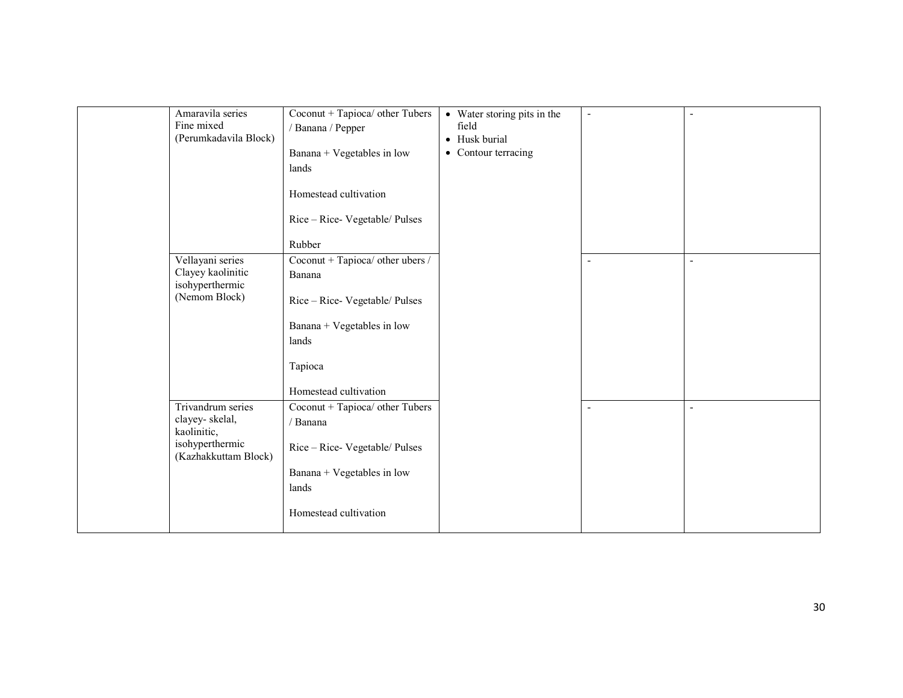| Amaravila series                                   | Coconut + Tapioca/ other Tubers             | • Water storing pits in the | $\blacksquare$           |                          |
|----------------------------------------------------|---------------------------------------------|-----------------------------|--------------------------|--------------------------|
| Fine mixed<br>(Perumkadavila Block)                | / Banana / Pepper                           | field<br>• Husk burial      |                          |                          |
|                                                    | Banana + Vegetables in low                  | • Contour terracing         |                          |                          |
|                                                    | lands                                       |                             |                          |                          |
|                                                    | Homestead cultivation                       |                             |                          |                          |
|                                                    | Rice - Rice- Vegetable/ Pulses              |                             |                          |                          |
|                                                    | Rubber                                      |                             |                          |                          |
| Vellayani series                                   | Coconut + Tapioca/ other ubers /            |                             | $\overline{\phantom{a}}$ | $\overline{\phantom{a}}$ |
| Clayey kaolinitic<br>isohyperthermic               | Banana                                      |                             |                          |                          |
| (Nemom Block)                                      | Rice - Rice- Vegetable/ Pulses              |                             |                          |                          |
|                                                    | Banana + Vegetables in low                  |                             |                          |                          |
|                                                    | lands                                       |                             |                          |                          |
|                                                    | Tapioca                                     |                             |                          |                          |
|                                                    | Homestead cultivation                       |                             |                          |                          |
| Trivandrum series<br>clayey-skelal,<br>kaolinitic, | Coconut + Tapioca/ other Tubers<br>/ Banana |                             |                          | $\overline{\phantom{a}}$ |
| isohyperthermic<br>(Kazhakkuttam Block)            | Rice - Rice- Vegetable/ Pulses              |                             |                          |                          |
|                                                    | Banana + Vegetables in low                  |                             |                          |                          |
|                                                    | lands                                       |                             |                          |                          |
|                                                    | Homestead cultivation                       |                             |                          |                          |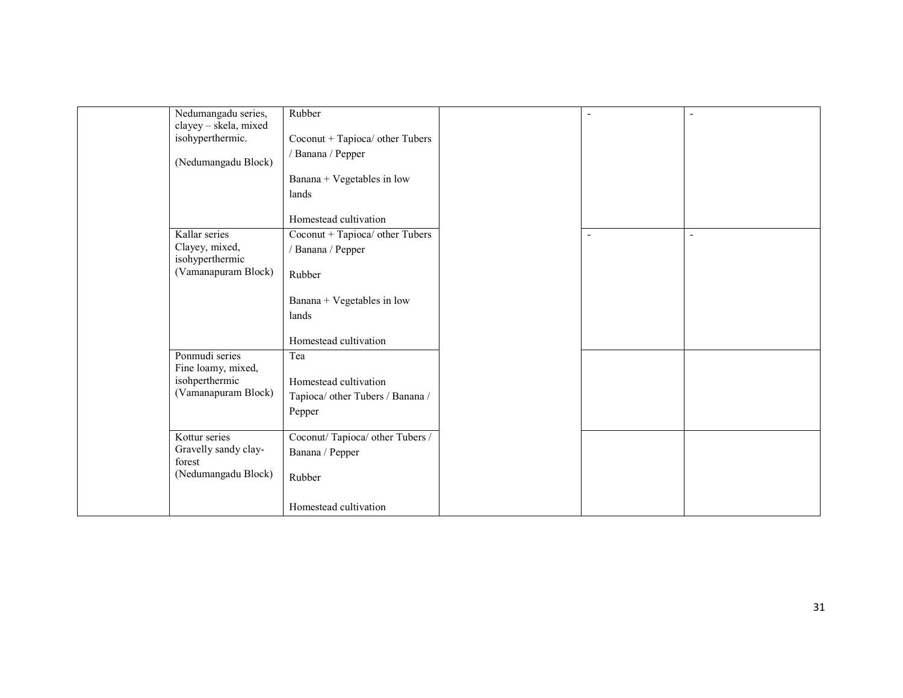| Nedumangadu series,<br>clayey - skela, mixed | Rubber                           |                          | $\overline{\phantom{a}}$ |
|----------------------------------------------|----------------------------------|--------------------------|--------------------------|
| isohyperthermic.                             | Coconut + Tapioca/ other Tubers  |                          |                          |
|                                              | / Banana / Pepper                |                          |                          |
| (Nedumangadu Block)                          |                                  |                          |                          |
|                                              | Banana + Vegetables in low       |                          |                          |
|                                              | lands                            |                          |                          |
|                                              | Homestead cultivation            |                          |                          |
| Kallar series                                | Coconut + Tapioca/ other Tubers  | $\overline{\phantom{a}}$ | ٠                        |
| Clayey, mixed,<br>isohyperthermic            | / Banana / Pepper                |                          |                          |
| (Vamanapuram Block)                          | Rubber                           |                          |                          |
|                                              | Banana + Vegetables in low       |                          |                          |
|                                              | lands                            |                          |                          |
|                                              | Homestead cultivation            |                          |                          |
| Ponmudi series<br>Fine loamy, mixed,         | Tea                              |                          |                          |
| isohperthermic                               | Homestead cultivation            |                          |                          |
| (Vamanapuram Block)                          | Tapioca/ other Tubers / Banana / |                          |                          |
|                                              | Pepper                           |                          |                          |
|                                              |                                  |                          |                          |
| Kottur series                                | Coconut/Tapioca/ other Tubers /  |                          |                          |
| Gravelly sandy clay-<br>forest               | Banana / Pepper                  |                          |                          |
| (Nedumangadu Block)                          | Rubber                           |                          |                          |
|                                              | Homestead cultivation            |                          |                          |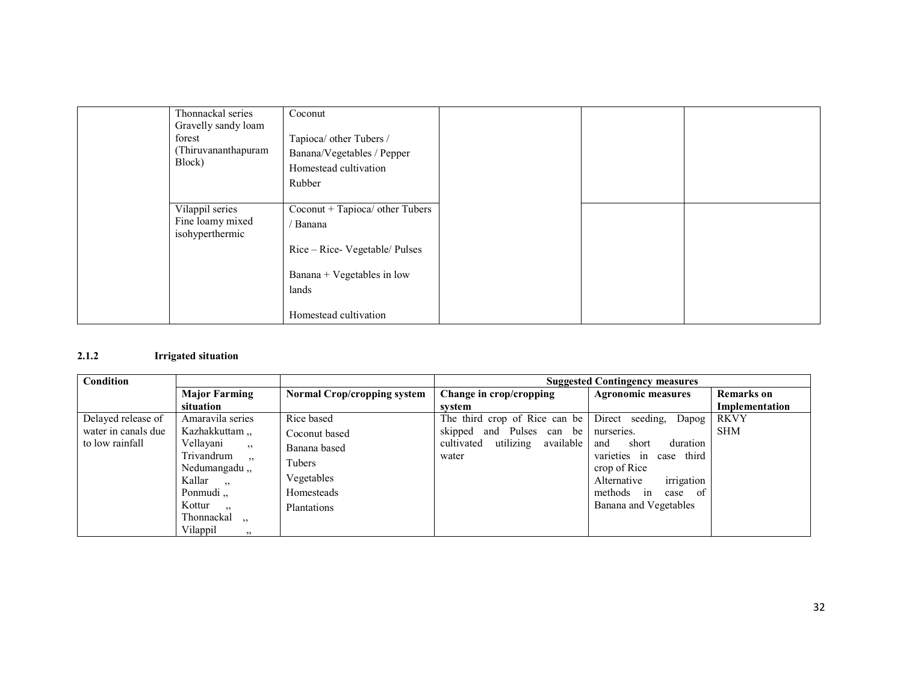| Thonnackal series                   | Coconut                         |  |  |
|-------------------------------------|---------------------------------|--|--|
| Gravelly sandy loam                 |                                 |  |  |
| forest                              | Tapioca/ other Tubers /         |  |  |
| (Thiruvananthapuram<br>Block)       | Banana/Vegetables / Pepper      |  |  |
|                                     | Homestead cultivation           |  |  |
|                                     | Rubber                          |  |  |
|                                     |                                 |  |  |
| Vilappil series                     | Coconut + Tapioca/ other Tubers |  |  |
| Fine loamy mixed<br>isohyperthermic | / Banana                        |  |  |
|                                     | Rice – Rice- Vegetable/ Pulses  |  |  |
|                                     | Banana + Vegetables in low      |  |  |
|                                     | lands                           |  |  |
|                                     | Homestead cultivation           |  |  |

#### 2.1.2 Irrigated situation

| <b>Condition</b>    |                                    |                                    | <b>Suggested Contingency measures</b> |                            |                   |
|---------------------|------------------------------------|------------------------------------|---------------------------------------|----------------------------|-------------------|
|                     | <b>Major Farming</b>               | <b>Normal Crop/cropping system</b> | Change in crop/cropping               | <b>Agronomic measures</b>  | <b>Remarks</b> on |
|                     | situation                          |                                    | system                                |                            | Implementation    |
| Delayed release of  | Amaravila series                   | Rice based                         | The third crop of Rice can be         | Direct seeding,<br>Dapog   | <b>RKVY</b>       |
| water in canals due | Kazhakkuttam,                      | Coconut based                      | and Pulses can be<br>skipped          | nurseries.                 | <b>SHM</b>        |
| to low rainfall     | Vellavani<br>22                    | Banana based                       | utilizing<br>available<br>cultivated  | duration<br>and<br>short   |                   |
|                     | Trivandrum<br>, 22                 | Tubers                             | water                                 | varieties in<br>case third |                   |
|                     | Nedumangadu,,                      | Vegetables                         |                                       | crop of Rice               |                   |
|                     | Kallar<br>$\overline{\phantom{a}}$ |                                    |                                       | irrigation<br>Alternative  |                   |
|                     | Ponmudi,                           | Homesteads                         |                                       | methods in<br>- of<br>case |                   |
|                     | Kottur<br>, 2, 3                   | Plantations                        |                                       | Banana and Vegetables      |                   |
|                     | Thonnackal<br>$\ddot{\phantom{0}}$ |                                    |                                       |                            |                   |
|                     | Vilappil<br>, 22                   |                                    |                                       |                            |                   |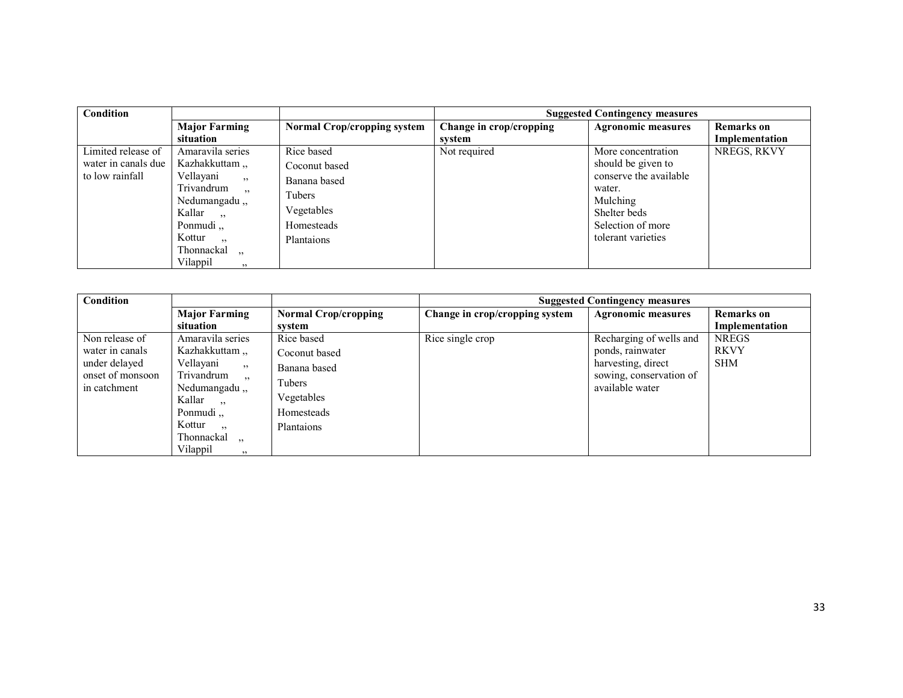| <b>Condition</b>    |                                        |                                    |                         | <b>Suggested Contingency measures</b> |                   |
|---------------------|----------------------------------------|------------------------------------|-------------------------|---------------------------------------|-------------------|
|                     | <b>Major Farming</b>                   | <b>Normal Crop/cropping system</b> | Change in crop/cropping | <b>Agronomic measures</b>             | <b>Remarks</b> on |
|                     | situation                              |                                    | system                  |                                       | Implementation    |
| Limited release of  | Amaravila series                       | Rice based                         | Not required            | More concentration                    | NREGS, RKVY       |
| water in canals due | Kazhakkuttam,                          | Coconut based                      |                         | should be given to                    |                   |
| to low rainfall     | Vellavani<br>, 2, 3                    | Banana based                       |                         | conserve the available                |                   |
|                     | Trivandrum<br>, 2, 3                   | Tubers                             |                         | water.                                |                   |
|                     | Nedumangadu,                           |                                    |                         | Mulching                              |                   |
|                     | Kallar,                                | Vegetables                         |                         | Shelter beds                          |                   |
|                     | Ponmudi,                               | Homesteads                         |                         | Selection of more                     |                   |
|                     | Kottur<br>$, \cdot$                    | Plantaions                         |                         | tolerant varieties                    |                   |
|                     | Thonnackal<br>$\overline{\phantom{a}}$ |                                    |                         |                                       |                   |
|                     | Vilappil<br>, 2, 3                     |                                    |                         |                                       |                   |

| Condition                         |                        |                             |                                | <b>Suggested Contingency measures</b> |                   |
|-----------------------------------|------------------------|-----------------------------|--------------------------------|---------------------------------------|-------------------|
|                                   | <b>Major Farming</b>   | <b>Normal Crop/cropping</b> | Change in crop/cropping system | <b>Agronomic measures</b>             | <b>Remarks</b> on |
|                                   | situation              | svstem                      |                                |                                       | Implementation    |
| Non release of                    | Amaravila series       | Rice based                  | Rice single crop               | Recharging of wells and               | <b>NREGS</b>      |
| water in canals                   | Kazhakkuttam,          | Coconut based               |                                | ponds, rainwater                      | <b>RKVY</b>       |
| under delayed<br>Vellayani<br>, 2 | Banana based           | harvesting, direct          |                                | <b>SHM</b>                            |                   |
| onset of monsoon                  | Trivandrum<br>22       | Tubers                      |                                | sowing, conservation of               |                   |
| in catchment                      | Nedumangadu,           |                             |                                | available water                       |                   |
|                                   | Kallar,                | Vegetables                  |                                |                                       |                   |
|                                   | Ponmudi <sub></sub>    | Homesteads                  |                                |                                       |                   |
|                                   | Kottur<br>$, \, \cdot$ | Plantaions                  |                                |                                       |                   |
|                                   | Thonnackal,            |                             |                                |                                       |                   |
|                                   | Vilappil<br>, 2, 3     |                             |                                |                                       |                   |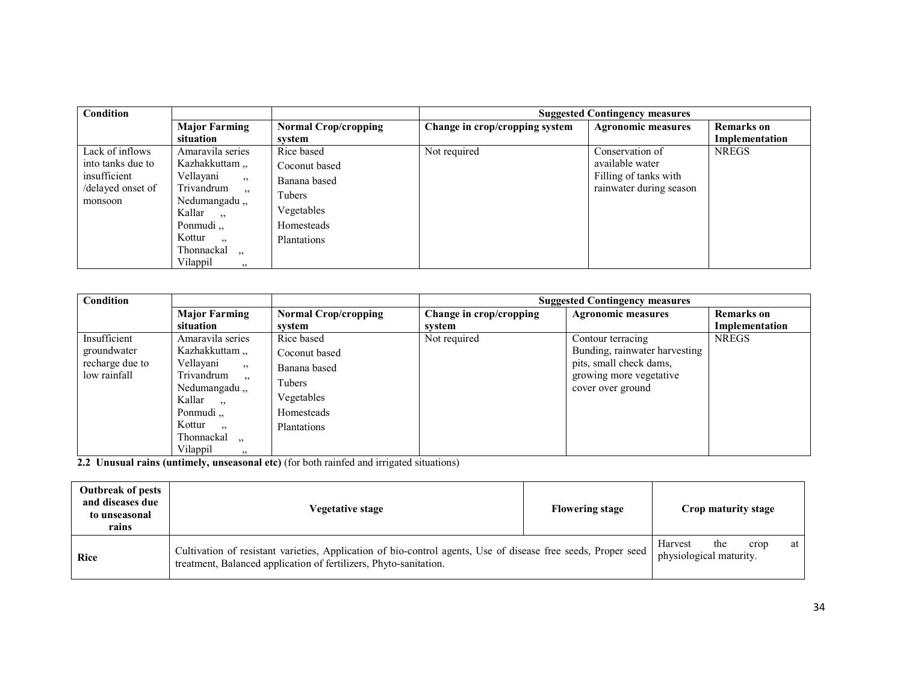| <b>Condition</b>                 |                                        |                             |                                | <b>Suggested Contingency measures</b> |                   |
|----------------------------------|----------------------------------------|-----------------------------|--------------------------------|---------------------------------------|-------------------|
|                                  | <b>Major Farming</b>                   | <b>Normal Crop/cropping</b> | Change in crop/cropping system | <b>Agronomic measures</b>             | <b>Remarks</b> on |
|                                  | situation                              | svstem                      |                                |                                       | Implementation    |
| Lack of inflows                  | Amaravila series                       | Rice based                  | Not required                   | Conservation of                       | <b>NREGS</b>      |
| into tanks due to                | Kazhakkuttam,                          | Coconut based               |                                | available water                       |                   |
| insufficient<br>Vellayani<br>, 2 | Banana based                           |                             | Filling of tanks with          |                                       |                   |
|                                  | /delayed onset of<br>Trivandrum<br>, 2 | Tubers                      |                                | rainwater during season               |                   |
| monsoon                          | Nedumangadu,<br>Kallar,                | Vegetables                  |                                |                                       |                   |
|                                  | Ponmudi,                               | Homesteads                  |                                |                                       |                   |
|                                  | Kottur<br>$\overline{\phantom{a}}$     | Plantations                 |                                |                                       |                   |
|                                  | Thonnackal<br>$\overline{\phantom{a}}$ |                             |                                |                                       |                   |
|                                  | Vilappil<br>22                         |                             |                                |                                       |                   |

| <b>Condition</b> |                                                                                          |                             |                         | <b>Suggested Contingency measures</b> |                   |  |
|------------------|------------------------------------------------------------------------------------------|-----------------------------|-------------------------|---------------------------------------|-------------------|--|
|                  | <b>Major Farming</b>                                                                     | <b>Normal Crop/cropping</b> | Change in crop/cropping | <b>Agronomic measures</b>             | <b>Remarks</b> on |  |
|                  | situation                                                                                | svstem                      | system                  |                                       | Implementation    |  |
| Insufficient     | Amaravila series                                                                         | Rice based                  | Not required            | Contour terracing                     | <b>NREGS</b>      |  |
| groundwater      | Kazhakkuttam,                                                                            | Coconut based               |                         | Bunding, rainwater harvesting         |                   |  |
| recharge due to  | Vellavani<br>, 2                                                                         | Banana based                |                         | pits, small check dams,               |                   |  |
| low rainfall     | Trivandrum<br>, 2, 3                                                                     | Tubers                      |                         | growing more vegetative               |                   |  |
|                  | Nedumangadu,,                                                                            |                             |                         | cover over ground                     |                   |  |
|                  | Kallar<br>$\sim$                                                                         | Vegetables                  |                         |                                       |                   |  |
|                  | Ponmudi,                                                                                 | Homesteads                  |                         |                                       |                   |  |
|                  | Kottur<br>$, \cdot$                                                                      | <b>Plantations</b>          |                         |                                       |                   |  |
|                  | Thonnackal,                                                                              |                             |                         |                                       |                   |  |
|                  | Vilappil<br>$, \, \cdot$                                                                 |                             |                         |                                       |                   |  |
|                  | 2.2 Unusual rains (untimely, unseasonal etc) (for both rainfed and irrigated situations) |                             |                         |                                       |                   |  |

| <b>Outbreak of pests</b><br>and diseases due<br>to unseasonal<br>rains | Vegetative stage                                                                                                                                                                   | <b>Flowering stage</b> | Crop maturity stage                                     |
|------------------------------------------------------------------------|------------------------------------------------------------------------------------------------------------------------------------------------------------------------------------|------------------------|---------------------------------------------------------|
| Rice                                                                   | Cultivation of resistant varieties, Application of bio-control agents, Use of disease free seeds, Proper seed<br>treatment, Balanced application of fertilizers, Phyto-sanitation. |                        | Harvest<br>the<br>crop<br>at<br>physiological maturity. |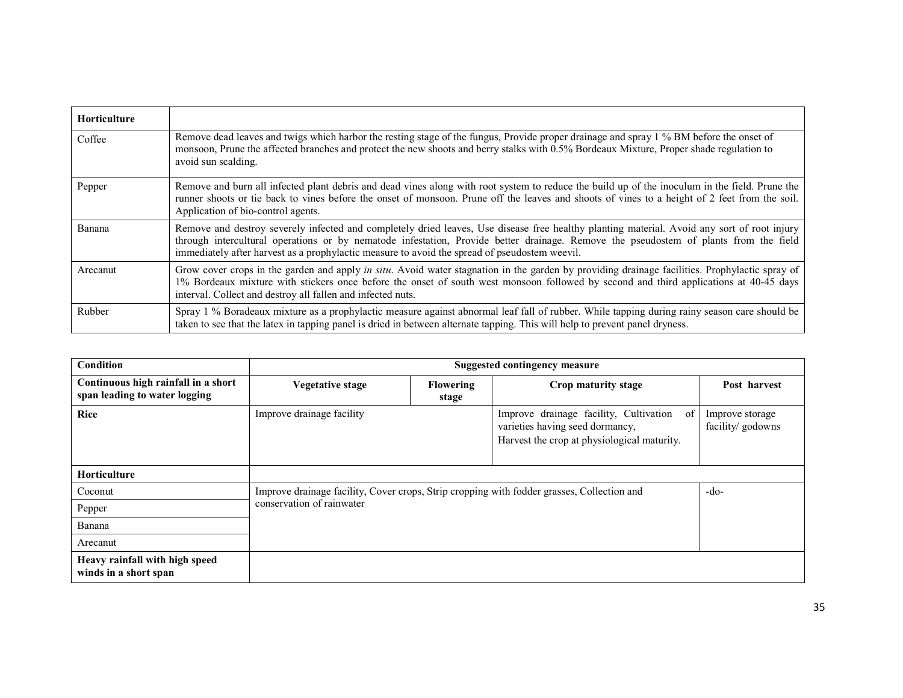| Horticulture |                                                                                                                                                                                                                                                                                                                                                                                      |
|--------------|--------------------------------------------------------------------------------------------------------------------------------------------------------------------------------------------------------------------------------------------------------------------------------------------------------------------------------------------------------------------------------------|
| Coffee       | Remove dead leaves and twigs which harbor the resting stage of the fungus, Provide proper drainage and spray 1 % BM before the onset of<br>monsoon, Prune the affected branches and protect the new shoots and berry stalks with 0.5% Bordeaux Mixture, Proper shade regulation to<br>avoid sun scalding.                                                                            |
| Pepper       | Remove and burn all infected plant debris and dead vines along with root system to reduce the build up of the inoculum in the field. Prune the<br>runner shoots or tie back to vines before the onset of monsoon. Prune off the leaves and shoots of vines to a height of 2 feet from the soil.<br>Application of bio-control agents.                                                |
| Banana       | Remove and destroy severely infected and completely dried leaves, Use disease free healthy planting material. Avoid any sort of root injury<br>through intercultural operations or by nematode infestation, Provide better drainage. Remove the pseudostem of plants from the field<br>immediately after harvest as a prophylactic measure to avoid the spread of pseudostem weevil. |
| Arecanut     | Grow cover crops in the garden and apply in situ. Avoid water stagnation in the garden by providing drainage facilities. Prophylactic spray of<br>1% Bordeaux mixture with stickers once before the onset of south west monsoon followed by second and third applications at 40-45 days<br>interval. Collect and destroy all fallen and infected nuts.                               |
| Rubber       | Spray 1 % Boradeaux mixture as a prophylactic measure against abnormal leaf fall of rubber. While tapping during rainy season care should be<br>taken to see that the latex in tapping panel is dried in between alternate tapping. This will help to prevent panel dryness.                                                                                                         |

| Condition                                                            | Suggested contingency measure                                                                                           |                           |                                                                                                                                |                                      |
|----------------------------------------------------------------------|-------------------------------------------------------------------------------------------------------------------------|---------------------------|--------------------------------------------------------------------------------------------------------------------------------|--------------------------------------|
| Continuous high rainfall in a short<br>span leading to water logging | <b>Vegetative stage</b>                                                                                                 | <b>Flowering</b><br>stage | Crop maturity stage                                                                                                            | Post harvest                         |
| <b>Rice</b>                                                          | Improve drainage facility                                                                                               |                           | Improve drainage facility, Cultivation<br>of<br>varieties having seed dormancy,<br>Harvest the crop at physiological maturity. | Improve storage<br>facility/ godowns |
| Horticulture                                                         |                                                                                                                         |                           |                                                                                                                                |                                      |
| Coconut                                                              | Improve drainage facility, Cover crops, Strip cropping with fodder grasses, Collection and<br>conservation of rainwater |                           |                                                                                                                                | $-do-$                               |
| Pepper                                                               |                                                                                                                         |                           |                                                                                                                                |                                      |
| Banana                                                               |                                                                                                                         |                           |                                                                                                                                |                                      |
| Arecanut                                                             |                                                                                                                         |                           |                                                                                                                                |                                      |
| Heavy rainfall with high speed<br>winds in a short span              |                                                                                                                         |                           |                                                                                                                                |                                      |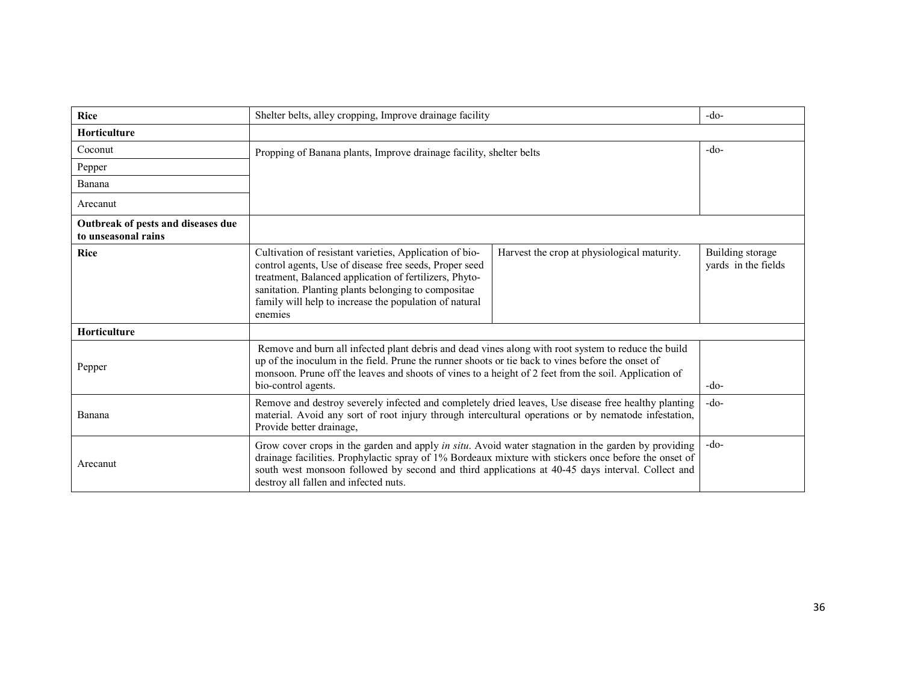| <b>Rice</b>                                               | Shelter belts, alley cropping, Improve drainage facility                                                                                                                                                                                                                                                                                                  | $-do-$                                      |                                         |
|-----------------------------------------------------------|-----------------------------------------------------------------------------------------------------------------------------------------------------------------------------------------------------------------------------------------------------------------------------------------------------------------------------------------------------------|---------------------------------------------|-----------------------------------------|
| Horticulture                                              |                                                                                                                                                                                                                                                                                                                                                           |                                             |                                         |
| Coconut                                                   | Propping of Banana plants, Improve drainage facility, shelter belts                                                                                                                                                                                                                                                                                       | $-do-$                                      |                                         |
| Pepper                                                    |                                                                                                                                                                                                                                                                                                                                                           |                                             |                                         |
| Banana                                                    |                                                                                                                                                                                                                                                                                                                                                           |                                             |                                         |
| Arecanut                                                  |                                                                                                                                                                                                                                                                                                                                                           |                                             |                                         |
| Outbreak of pests and diseases due<br>to unseasonal rains |                                                                                                                                                                                                                                                                                                                                                           |                                             |                                         |
| <b>Rice</b>                                               | Cultivation of resistant varieties, Application of bio-<br>control agents, Use of disease free seeds, Proper seed<br>treatment, Balanced application of fertilizers, Phyto-<br>sanitation. Planting plants belonging to compositae<br>family will help to increase the population of natural<br>enemies                                                   | Harvest the crop at physiological maturity. | Building storage<br>yards in the fields |
| <b>Horticulture</b>                                       |                                                                                                                                                                                                                                                                                                                                                           |                                             |                                         |
| Pepper                                                    | Remove and burn all infected plant debris and dead vines along with root system to reduce the build<br>up of the inoculum in the field. Prune the runner shoots or tie back to vines before the onset of<br>monsoon. Prune off the leaves and shoots of vines to a height of 2 feet from the soil. Application of<br>bio-control agents.                  | $-do-$                                      |                                         |
| Banana                                                    | Remove and destroy severely infected and completely dried leaves, Use disease free healthy planting<br>material. Avoid any sort of root injury through intercultural operations or by nematode infestation,<br>Provide better drainage,                                                                                                                   | $-do-$                                      |                                         |
| Arecanut                                                  | Grow cover crops in the garden and apply in situ. Avoid water stagnation in the garden by providing<br>drainage facilities. Prophylactic spray of 1% Bordeaux mixture with stickers once before the onset of<br>south west monsoon followed by second and third applications at 40-45 days interval. Collect and<br>destroy all fallen and infected nuts. | $-do-$                                      |                                         |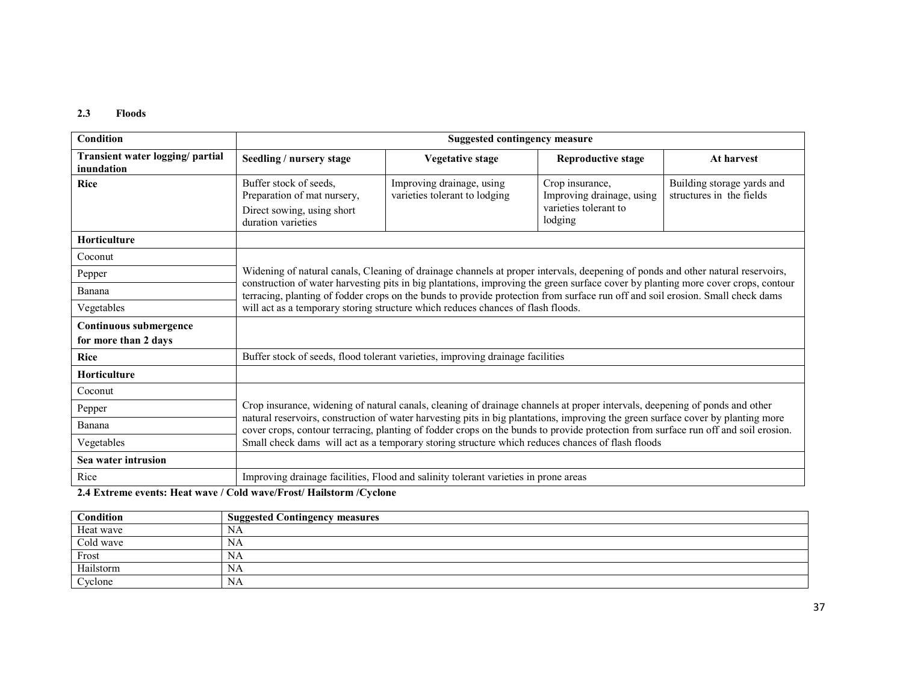#### 2.3 Floods

| Condition                                      | <b>Suggested contingency measure</b>                                                                                                                                                                                                                                                                                                                                                                                                                                                                      |                                                                                     |                                                                                  |                                                        |  |
|------------------------------------------------|-----------------------------------------------------------------------------------------------------------------------------------------------------------------------------------------------------------------------------------------------------------------------------------------------------------------------------------------------------------------------------------------------------------------------------------------------------------------------------------------------------------|-------------------------------------------------------------------------------------|----------------------------------------------------------------------------------|--------------------------------------------------------|--|
| Transient water logging/ partial<br>inundation | Seedling / nursery stage                                                                                                                                                                                                                                                                                                                                                                                                                                                                                  | <b>Vegetative stage</b>                                                             | <b>Reproductive stage</b>                                                        | At harvest                                             |  |
| <b>Rice</b>                                    | Buffer stock of seeds.<br>Preparation of mat nursery,<br>Direct sowing, using short<br>duration varieties                                                                                                                                                                                                                                                                                                                                                                                                 | Improving drainage, using<br>varieties tolerant to lodging                          | Crop insurance,<br>Improving drainage, using<br>varieties tolerant to<br>lodging | Building storage yards and<br>structures in the fields |  |
| <b>Horticulture</b>                            |                                                                                                                                                                                                                                                                                                                                                                                                                                                                                                           |                                                                                     |                                                                                  |                                                        |  |
| Coconut                                        |                                                                                                                                                                                                                                                                                                                                                                                                                                                                                                           |                                                                                     |                                                                                  |                                                        |  |
| Pepper                                         | Widening of natural canals, Cleaning of drainage channels at proper intervals, deepening of ponds and other natural reservoirs,<br>construction of water harvesting pits in big plantations, improving the green surface cover by planting more cover crops, contour<br>terracing, planting of fodder crops on the bunds to provide protection from surface run off and soil erosion. Small check dams                                                                                                    |                                                                                     |                                                                                  |                                                        |  |
| Banana                                         |                                                                                                                                                                                                                                                                                                                                                                                                                                                                                                           |                                                                                     |                                                                                  |                                                        |  |
| Vegetables                                     | will act as a temporary storing structure which reduces chances of flash floods.                                                                                                                                                                                                                                                                                                                                                                                                                          |                                                                                     |                                                                                  |                                                        |  |
| Continuous submergence                         |                                                                                                                                                                                                                                                                                                                                                                                                                                                                                                           |                                                                                     |                                                                                  |                                                        |  |
| for more than 2 days                           |                                                                                                                                                                                                                                                                                                                                                                                                                                                                                                           |                                                                                     |                                                                                  |                                                        |  |
| <b>Rice</b>                                    | Buffer stock of seeds, flood tolerant varieties, improving drainage facilities                                                                                                                                                                                                                                                                                                                                                                                                                            |                                                                                     |                                                                                  |                                                        |  |
| Horticulture                                   |                                                                                                                                                                                                                                                                                                                                                                                                                                                                                                           |                                                                                     |                                                                                  |                                                        |  |
| Coconut                                        |                                                                                                                                                                                                                                                                                                                                                                                                                                                                                                           |                                                                                     |                                                                                  |                                                        |  |
| Pepper                                         | Crop insurance, widening of natural canals, cleaning of drainage channels at proper intervals, deepening of ponds and other<br>natural reservoirs, construction of water harvesting pits in big plantations, improving the green surface cover by planting more<br>cover crops, contour terracing, planting of fodder crops on the bunds to provide protection from surface run off and soil erosion.<br>Small check dams will act as a temporary storing structure which reduces chances of flash floods |                                                                                     |                                                                                  |                                                        |  |
| Banana                                         |                                                                                                                                                                                                                                                                                                                                                                                                                                                                                                           |                                                                                     |                                                                                  |                                                        |  |
| Vegetables                                     |                                                                                                                                                                                                                                                                                                                                                                                                                                                                                                           |                                                                                     |                                                                                  |                                                        |  |
| Sea water intrusion                            |                                                                                                                                                                                                                                                                                                                                                                                                                                                                                                           |                                                                                     |                                                                                  |                                                        |  |
| Rice                                           |                                                                                                                                                                                                                                                                                                                                                                                                                                                                                                           | Improving drainage facilities, Flood and salinity tolerant varieties in prone areas |                                                                                  |                                                        |  |

2.4 Extreme events: Heat wave / Cold wave/Frost/ Hailstorm /Cyclone

| Condition | <b>Suggested Contingency measures</b> |
|-----------|---------------------------------------|
| Heat wave | NA                                    |
| Cold wave | NA                                    |
| Frost     | NA                                    |
| Hailstorm | NA                                    |
| Cyclone   | NA                                    |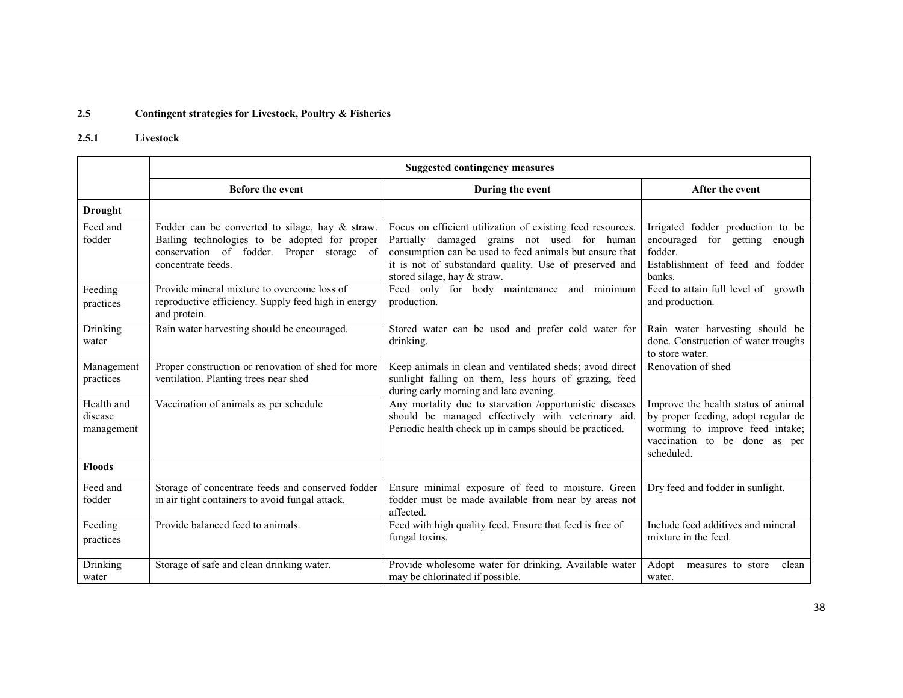#### 2.5Contingent strategies for Livestock, Poultry & Fisheries

# 2.5.1 Livestock

|                                     | <b>Suggested contingency measures</b>                                                                                                                               |                                                                                                                                                                                                                                                               |                                                                                                                                                              |  |
|-------------------------------------|---------------------------------------------------------------------------------------------------------------------------------------------------------------------|---------------------------------------------------------------------------------------------------------------------------------------------------------------------------------------------------------------------------------------------------------------|--------------------------------------------------------------------------------------------------------------------------------------------------------------|--|
|                                     | <b>Before the event</b>                                                                                                                                             | During the event                                                                                                                                                                                                                                              | After the event                                                                                                                                              |  |
| <b>Drought</b>                      |                                                                                                                                                                     |                                                                                                                                                                                                                                                               |                                                                                                                                                              |  |
| Feed and<br>fodder                  | Fodder can be converted to silage, hay & straw.<br>Bailing technologies to be adopted for proper<br>conservation of fodder. Proper storage of<br>concentrate feeds. | Focus on efficient utilization of existing feed resources.<br>Partially damaged grains not used for human<br>consumption can be used to feed animals but ensure that<br>it is not of substandard quality. Use of preserved and<br>stored silage, hay & straw. | Irrigated fodder production to be<br>encouraged for getting enough<br>fodder.<br>Establishment of feed and fodder<br><b>banks</b>                            |  |
| Feeding<br>practices                | Provide mineral mixture to overcome loss of<br>reproductive efficiency. Supply feed high in energy<br>and protein.                                                  | Feed only for body maintenance and minimum<br>production.                                                                                                                                                                                                     | Feed to attain full level of growth<br>and production.                                                                                                       |  |
| Drinking<br>water                   | Rain water harvesting should be encouraged.                                                                                                                         | Stored water can be used and prefer cold water for<br>drinking.                                                                                                                                                                                               | Rain water harvesting should be<br>done. Construction of water troughs<br>to store water.                                                                    |  |
| Management<br>practices             | Proper construction or renovation of shed for more<br>ventilation. Planting trees near shed                                                                         | Keep animals in clean and ventilated sheds; avoid direct<br>sunlight falling on them, less hours of grazing, feed<br>during early morning and late evening.                                                                                                   | Renovation of shed                                                                                                                                           |  |
| Health and<br>disease<br>management | Vaccination of animals as per schedule                                                                                                                              | Any mortality due to starvation /opportunistic diseases<br>should be managed effectively with veterinary aid.<br>Periodic health check up in camps should be practiced.                                                                                       | Improve the health status of animal<br>by proper feeding, adopt regular de<br>worming to improve feed intake;<br>vaccination to be done as per<br>scheduled. |  |
| <b>Floods</b>                       |                                                                                                                                                                     |                                                                                                                                                                                                                                                               |                                                                                                                                                              |  |
| Feed and<br>fodder                  | Storage of concentrate feeds and conserved fodder<br>in air tight containers to avoid fungal attack.                                                                | Ensure minimal exposure of feed to moisture. Green<br>fodder must be made available from near by areas not<br>affected.                                                                                                                                       | Dry feed and fodder in sunlight.                                                                                                                             |  |
| Feeding<br>practices                | Provide balanced feed to animals.                                                                                                                                   | Feed with high quality feed. Ensure that feed is free of<br>fungal toxins.                                                                                                                                                                                    | Include feed additives and mineral<br>mixture in the feed.                                                                                                   |  |
| Drinking<br>water                   | Storage of safe and clean drinking water.                                                                                                                           | Provide wholesome water for drinking. Available water<br>may be chlorinated if possible.                                                                                                                                                                      | Adopt<br>clean<br>measures to store<br>water.                                                                                                                |  |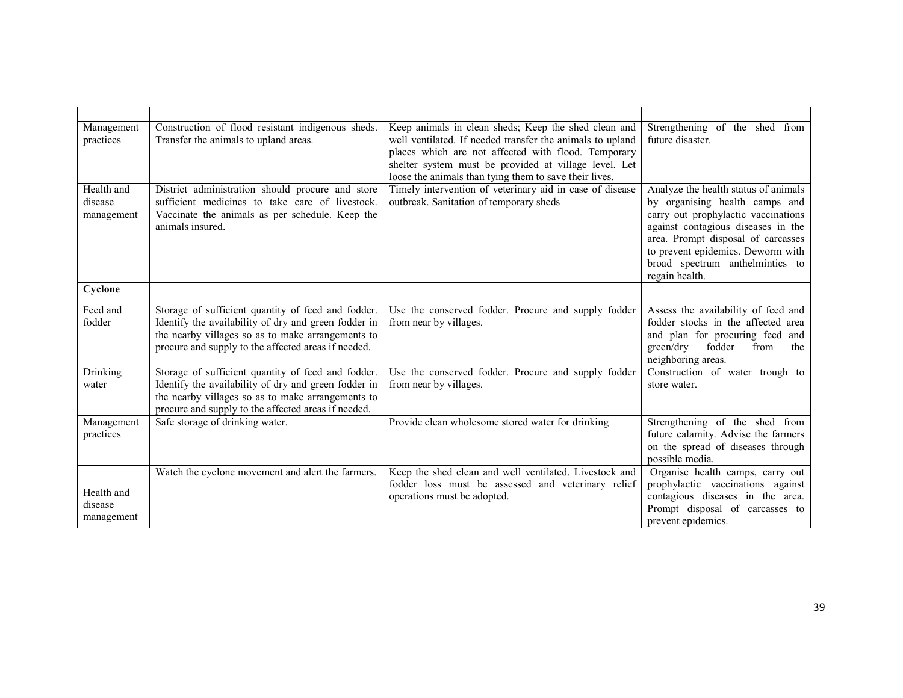| Management<br>practices             | Construction of flood resistant indigenous sheds.<br>Transfer the animals to upland areas.                                                                                                                             | Keep animals in clean sheds; Keep the shed clean and<br>well ventilated. If needed transfer the animals to upland<br>places which are not affected with flood. Temporary<br>shelter system must be provided at village level. Let<br>loose the animals than tying them to save their lives. | Strengthening of the shed from<br>future disaster.                                                                                                                                                                                                                                  |
|-------------------------------------|------------------------------------------------------------------------------------------------------------------------------------------------------------------------------------------------------------------------|---------------------------------------------------------------------------------------------------------------------------------------------------------------------------------------------------------------------------------------------------------------------------------------------|-------------------------------------------------------------------------------------------------------------------------------------------------------------------------------------------------------------------------------------------------------------------------------------|
| Health and<br>disease<br>management | District administration should procure and store<br>sufficient medicines to take care of livestock.<br>Vaccinate the animals as per schedule. Keep the<br>animals insured.                                             | Timely intervention of veterinary aid in case of disease<br>outbreak. Sanitation of temporary sheds                                                                                                                                                                                         | Analyze the health status of animals<br>by organising health camps and<br>carry out prophylactic vaccinations<br>against contagious diseases in the<br>area. Prompt disposal of carcasses<br>to prevent epidemics. Deworm with<br>broad spectrum anthelmintics to<br>regain health. |
| Cyclone                             |                                                                                                                                                                                                                        |                                                                                                                                                                                                                                                                                             |                                                                                                                                                                                                                                                                                     |
| Feed and<br>fodder                  | Storage of sufficient quantity of feed and fodder.<br>Identify the availability of dry and green fodder in<br>the nearby villages so as to make arrangements to<br>procure and supply to the affected areas if needed. | Use the conserved fodder. Procure and supply fodder<br>from near by villages.                                                                                                                                                                                                               | Assess the availability of feed and<br>fodder stocks in the affected area<br>and plan for procuring feed and<br>green/dry<br>fodder<br>from<br>the<br>neighboring areas.                                                                                                            |
| Drinking<br>water                   | Storage of sufficient quantity of feed and fodder.<br>Identify the availability of dry and green fodder in<br>the nearby villages so as to make arrangements to<br>procure and supply to the affected areas if needed. | Use the conserved fodder. Procure and supply fodder<br>from near by villages.                                                                                                                                                                                                               | Construction of water trough to<br>store water.                                                                                                                                                                                                                                     |
| Management<br>practices             | Safe storage of drinking water.                                                                                                                                                                                        | Provide clean wholesome stored water for drinking                                                                                                                                                                                                                                           | Strengthening of the shed from<br>future calamity. Advise the farmers<br>on the spread of diseases through<br>possible media.                                                                                                                                                       |
| Health and<br>disease<br>management | Watch the cyclone movement and alert the farmers.                                                                                                                                                                      | Keep the shed clean and well ventilated. Livestock and<br>fodder loss must be assessed and veterinary relief<br>operations must be adopted.                                                                                                                                                 | Organise health camps, carry out<br>prophylactic vaccinations against<br>contagious diseases in the area.<br>Prompt disposal of carcasses to<br>prevent epidemics.                                                                                                                  |